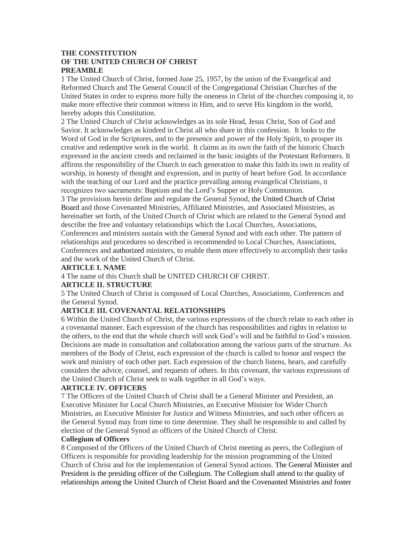# **THE CONSTITUTION OF THE UNITED CHURCH OF CHRIST PREAMBLE**

1 The United Church of Christ, formed June 25, 1957, by the union of the Evangelical and Reformed Church and The General Council of the Congregational Christian Churches of the United States in order to express more fully the oneness in Christ of the churches composing it, to make more effective their common witness in Him, and to serve His kingdom in the world, hereby adopts this Constitution.

2 The United Church of Christ acknowledges as its sole Head, Jesus Christ, Son of God and Savior. It acknowledges as kindred in Christ all who share in this confession. It looks to the Word of God in the Scriptures, and to the presence and power of the Holy Spirit, to prosper its creative and redemptive work in the world. It claims as its own the faith of the historic Church expressed in the ancient creeds and reclaimed in the basic insights of the Protestant Reformers. It affirms the responsibility of the Church in each generation to make this faith its own in reality of worship, in honesty of thought and expression, and in purity of heart before God. In accordance with the teaching of our Lord and the practice prevailing among evangelical Christians, it recognizes two sacraments: Baptism and the Lord's Supper or Holy Communion.

3 The provisions herein define and regulate the General Synod, the United Church of Christ Board and those Covenanted Ministries, Affiliated Ministries, and Associated Ministries, as hereinafter set forth, of the United Church of Christ which are related to the General Synod and describe the free and voluntary relationships which the Local Churches, Associations, Conferences and ministers sustain with the General Synod and with each other. The pattern of relationships and procedures so described is recommended to Local Churches, Associations, Conferences and authorized ministers, to enable them more effectively to accomplish their tasks and the work of the United Church of Christ.

## **ARTICLE I. NAME**

4 The name of this Church shall be UNITED CHURCH OF CHRIST.

## **ARTICLE II. STRUCTURE**

5 The United Church of Christ is composed of Local Churches, Associations, Conferences and the General Synod.

## **ARTICLE III. COVENANTAL RELATIONSHIPS**

6 Within the United Church of Christ, the various expressions of the church relate to each other in a covenantal manner. Each expression of the church has responsibilities and rights in relation to the others, to the end that the whole church will seek God's will and be faithful to God's mission. Decisions are made in consultation and collaboration among the various parts of the structure. As members of the Body of Christ, each expression of the church is called to honor and respect the work and ministry of each other part. Each expression of the church listens, hears, and carefully considers the advice, counsel, and requests of others. In this covenant, the various expressions of the United Church of Christ seek to walk together in all God's ways.

## **ARTICLE IV. OFFICERS**

7 The Officers of the United Church of Christ shall be a General Minister and President, an Executive Minister for Local Church Ministries, an Executive Minister for Wider Church Ministries, an Executive Minister for Justice and Witness Ministries, and such other officers as the General Synod may from time to time determine. They shall be responsible to and called by election of the General Synod as officers of the United Church of Christ.

#### **Collegium of Officers**

8 Composed of the Officers of the United Church of Christ meeting as peers, the Collegium of Officers is responsible for providing leadership for the mission programming of the United Church of Christ and for the implementation of General Synod actions. The General Minister and President is the presiding officer of the Collegium. The Collegium shall attend to the quality of relationships among the United Church of Christ Board and the Covenanted Ministries and foster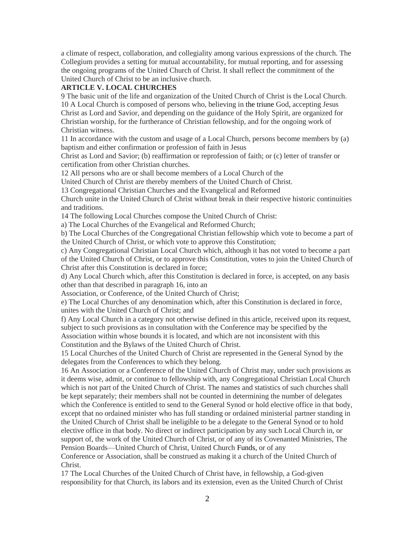a climate of respect, collaboration, and collegiality among various expressions of the church. The Collegium provides a setting for mutual accountability, for mutual reporting, and for assessing the ongoing programs of the United Church of Christ. It shall reflect the commitment of the United Church of Christ to be an inclusive church.

## **ARTICLE V. LOCAL CHURCHES**

9 The basic unit of the life and organization of the United Church of Christ is the Local Church. 10 A Local Church is composed of persons who, believing in the triune God, accepting Jesus Christ as Lord and Savior, and depending on the guidance of the Holy Spirit, are organized for Christian worship, for the furtherance of Christian fellowship, and for the ongoing work of Christian witness.

11 In accordance with the custom and usage of a Local Church, persons become members by (a) baptism and either confirmation or profession of faith in Jesus

Christ as Lord and Savior; (b) reaffirmation or reprofession of faith; or (c) letter of transfer or certification from other Christian churches.

12 All persons who are or shall become members of a Local Church of the

United Church of Christ are thereby members of the United Church of Christ.

13 Congregational Christian Churches and the Evangelical and Reformed

Church unite in the United Church of Christ without break in their respective historic continuities and traditions.

14 The following Local Churches compose the United Church of Christ:

a) The Local Churches of the Evangelical and Reformed Church;

b) The Local Churches of the Congregational Christian fellowship which vote to become a part of the United Church of Christ, or which vote to approve this Constitution;

c) Any Congregational Christian Local Church which, although it has not voted to become a part of the United Church of Christ, or to approve this Constitution, votes to join the United Church of Christ after this Constitution is declared in force;

d) Any Local Church which, after this Constitution is declared in force, is accepted, on any basis other than that described in paragraph 16, into an

Association, or Conference, of the United Church of Christ;

e) The Local Churches of any denomination which, after this Constitution is declared in force, unites with the United Church of Christ; and

f) Any Local Church in a category not otherwise defined in this article, received upon its request, subject to such provisions as in consultation with the Conference may be specified by the Association within whose bounds it is located, and which are not inconsistent with this Constitution and the Bylaws of the United Church of Christ.

15 Local Churches of the United Church of Christ are represented in the General Synod by the delegates from the Conferences to which they belong.

16 An Association or a Conference of the United Church of Christ may, under such provisions as it deems wise, admit, or continue to fellowship with, any Congregational Christian Local Church which is not part of the United Church of Christ. The names and statistics of such churches shall be kept separately; their members shall not be counted in determining the number of delegates which the Conference is entitled to send to the General Synod or hold elective office in that body, except that no ordained minister who has full standing or ordained ministerial partner standing in the United Church of Christ shall be ineligible to be a delegate to the General Synod or to hold elective office in that body. No direct or indirect participation by any such Local Church in, or support of, the work of the United Church of Christ, or of any of its Covenanted Ministries, The Pension Boards—United Church of Christ, United Church Funds, or of any

Conference or Association, shall be construed as making it a church of the United Church of Christ.

17 The Local Churches of the United Church of Christ have, in fellowship, a God-given responsibility for that Church, its labors and its extension, even as the United Church of Christ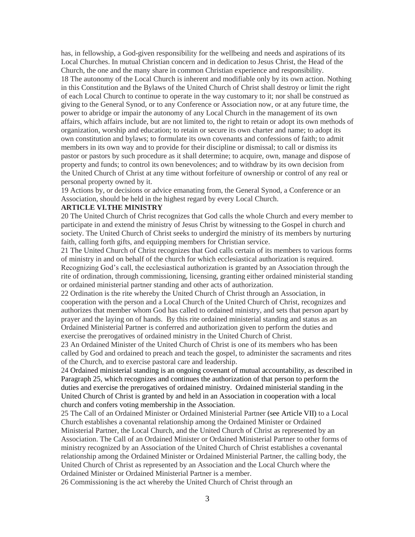has, in fellowship, a God-given responsibility for the wellbeing and needs and aspirations of its Local Churches. In mutual Christian concern and in dedication to Jesus Christ, the Head of the Church, the one and the many share in common Christian experience and responsibility. 18 The autonomy of the Local Church is inherent and modifiable only by its own action. Nothing in this Constitution and the Bylaws of the United Church of Christ shall destroy or limit the right of each Local Church to continue to operate in the way customary to it; nor shall be construed as giving to the General Synod, or to any Conference or Association now, or at any future time, the power to abridge or impair the autonomy of any Local Church in the management of its own affairs, which affairs include, but are not limited to, the right to retain or adopt its own methods of organization, worship and education; to retain or secure its own charter and name; to adopt its own constitution and bylaws; to formulate its own covenants and confessions of faith; to admit members in its own way and to provide for their discipline or dismissal; to call or dismiss its pastor or pastors by such procedure as it shall determine; to acquire, own, manage and dispose of property and funds; to control its own benevolences; and to withdraw by its own decision from the United Church of Christ at any time without forfeiture of ownership or control of any real or personal property owned by it.

19 Actions by, or decisions or advice emanating from, the General Synod, a Conference or an Association, should be held in the highest regard by every Local Church.

#### **ARTICLE VI.THE MINISTRY**

20 The United Church of Christ recognizes that God calls the whole Church and every member to participate in and extend the ministry of Jesus Christ by witnessing to the Gospel in church and society. The United Church of Christ seeks to undergird the ministry of its members by nurturing faith, calling forth gifts, and equipping members for Christian service.

21 The United Church of Christ recognizes that God calls certain of its members to various forms of ministry in and on behalf of the church for which ecclesiastical authorization is required. Recognizing God's call, the ecclesiastical authorization is granted by an Association through the rite of ordination, through commissioning, licensing, granting either ordained ministerial standing or ordained ministerial partner standing and other acts of authorization.

22 Ordination is the rite whereby the United Church of Christ through an Association, in cooperation with the person and a Local Church of the United Church of Christ, recognizes and authorizes that member whom God has called to ordained ministry, and sets that person apart by prayer and the laying on of hands. By this rite ordained ministerial standing and status as an Ordained Ministerial Partner is conferred and authorization given to perform the duties and exercise the prerogatives of ordained ministry in the United Church of Christ.

23 An Ordained Minister of the United Church of Christ is one of its members who has been called by God and ordained to preach and teach the gospel, to administer the sacraments and rites of the Church, and to exercise pastoral care and leadership.

24 Ordained ministerial standing is an ongoing covenant of mutual accountability, as described in Paragraph 25, which recognizes and continues the authorization of that person to perform the duties and exercise the prerogatives of ordained ministry. Ordained ministerial standing in the United Church of Christ is granted by and held in an Association in cooperation with a local church and confers voting membership in the Association.

25 The Call of an Ordained Minister or Ordained Ministerial Partner (see Article VII) to a Local Church establishes a covenantal relationship among the Ordained Minister or Ordained Ministerial Partner, the Local Church, and the United Church of Christ as represented by an Association. The Call of an Ordained Minister or Ordained Ministerial Partner to other forms of ministry recognized by an Association of the United Church of Christ establishes a covenantal relationship among the Ordained Minister or Ordained Ministerial Partner, the calling body, the United Church of Christ as represented by an Association and the Local Church where the Ordained Minister or Ordained Ministerial Partner is a member.

26 Commissioning is the act whereby the United Church of Christ through an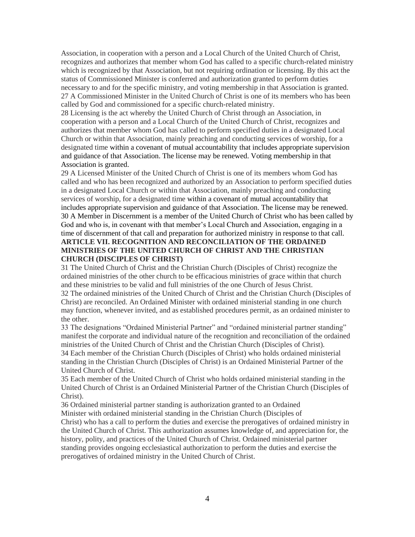Association, in cooperation with a person and a Local Church of the United Church of Christ, recognizes and authorizes that member whom God has called to a specific church-related ministry which is recognized by that Association, but not requiring ordination or licensing. By this act the status of Commissioned Minister is conferred and authorization granted to perform duties necessary to and for the specific ministry, and voting membership in that Association is granted. 27 A Commissioned Minister in the United Church of Christ is one of its members who has been called by God and commissioned for a specific church-related ministry.

28 Licensing is the act whereby the United Church of Christ through an Association, in cooperation with a person and a Local Church of the United Church of Christ, recognizes and authorizes that member whom God has called to perform specified duties in a designated Local Church or within that Association, mainly preaching and conducting services of worship, for a designated time within a covenant of mutual accountability that includes appropriate supervision and guidance of that Association. The license may be renewed. Voting membership in that Association is granted.

29 A Licensed Minister of the United Church of Christ is one of its members whom God has called and who has been recognized and authorized by an Association to perform specified duties in a designated Local Church or within that Association, mainly preaching and conducting services of worship, for a designated time within a covenant of mutual accountability that includes appropriate supervision and guidance of that Association. The license may be renewed. 30 A Member in Discernment is a member of the United Church of Christ who has been called by God and who is, in covenant with that member's Local Church and Association, engaging in a time of discernment of that call and preparation for authorized ministry in response to that call. **ARTICLE VII. RECOGNITION AND RECONCILIATION OF THE ORDAINED MINISTRIES OF THE UNITED CHURCH OF CHRIST AND THE CHRISTIAN CHURCH (DISCIPLES OF CHRIST)**

31 The United Church of Christ and the Christian Church (Disciples of Christ) recognize the ordained ministries of the other church to be efficacious ministries of grace within that church and these ministries to be valid and full ministries of the one Church of Jesus Christ. 32 The ordained ministries of the United Church of Christ and the Christian Church (Disciples of Christ) are reconciled. An Ordained Minister with ordained ministerial standing in one church may function, whenever invited, and as established procedures permit, as an ordained minister to the other.

33 The designations "Ordained Ministerial Partner" and "ordained ministerial partner standing" manifest the corporate and individual nature of the recognition and reconciliation of the ordained ministries of the United Church of Christ and the Christian Church (Disciples of Christ). 34 Each member of the Christian Church (Disciples of Christ) who holds ordained ministerial standing in the Christian Church (Disciples of Christ) is an Ordained Ministerial Partner of the United Church of Christ.

35 Each member of the United Church of Christ who holds ordained ministerial standing in the United Church of Christ is an Ordained Ministerial Partner of the Christian Church (Disciples of Christ).

36 Ordained ministerial partner standing is authorization granted to an Ordained Minister with ordained ministerial standing in the Christian Church (Disciples of Christ) who has a call to perform the duties and exercise the prerogatives of ordained ministry in the United Church of Christ. This authorization assumes knowledge of, and appreciation for, the history, polity, and practices of the United Church of Christ. Ordained ministerial partner standing provides ongoing ecclesiastical authorization to perform the duties and exercise the prerogatives of ordained ministry in the United Church of Christ.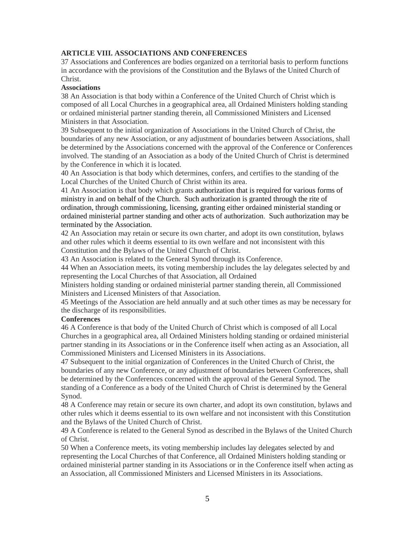# **ARTICLE VIII. ASSOCIATIONS AND CONFERENCES**

37 Associations and Conferences are bodies organized on a territorial basis to perform functions in accordance with the provisions of the Constitution and the Bylaws of the United Church of Christ.

### **Associations**

38 An Association is that body within a Conference of the United Church of Christ which is composed of all Local Churches in a geographical area, all Ordained Ministers holding standing or ordained ministerial partner standing therein, all Commissioned Ministers and Licensed Ministers in that Association.

39 Subsequent to the initial organization of Associations in the United Church of Christ, the boundaries of any new Association, or any adjustment of boundaries between Associations, shall be determined by the Associations concerned with the approval of the Conference or Conferences involved. The standing of an Association as a body of the United Church of Christ is determined by the Conference in which it is located.

40 An Association is that body which determines, confers, and certifies to the standing of the Local Churches of the United Church of Christ within its area.

41 An Association is that body which grants authorization that is required for various forms of ministry in and on behalf of the Church. Such authorization is granted through the rite of ordination, through commissioning, licensing, granting either ordained ministerial standing or ordained ministerial partner standing and other acts of authorization. Such authorization may be terminated by the Association.

42 An Association may retain or secure its own charter, and adopt its own constitution, bylaws and other rules which it deems essential to its own welfare and not inconsistent with this Constitution and the Bylaws of the United Church of Christ.

43 An Association is related to the General Synod through its Conference.

44 When an Association meets, its voting membership includes the lay delegates selected by and representing the Local Churches of that Association, all Ordained

Ministers holding standing or ordained ministerial partner standing therein, all Commissioned Ministers and Licensed Ministers of that Association.

45 Meetings of the Association are held annually and at such other times as may be necessary for the discharge of its responsibilities.

## **Conferences**

46 A Conference is that body of the United Church of Christ which is composed of all Local Churches in a geographical area, all Ordained Ministers holding standing or ordained ministerial partner standing in its Associations or in the Conference itself when acting as an Association, all Commissioned Ministers and Licensed Ministers in its Associations.

47 Subsequent to the initial organization of Conferences in the United Church of Christ, the boundaries of any new Conference, or any adjustment of boundaries between Conferences, shall be determined by the Conferences concerned with the approval of the General Synod. The standing of a Conference as a body of the United Church of Christ is determined by the General Synod.

48 A Conference may retain or secure its own charter, and adopt its own constitution, bylaws and other rules which it deems essential to its own welfare and not inconsistent with this Constitution and the Bylaws of the United Church of Christ.

49 A Conference is related to the General Synod as described in the Bylaws of the United Church of Christ.

50 When a Conference meets, its voting membership includes lay delegates selected by and representing the Local Churches of that Conference, all Ordained Ministers holding standing or ordained ministerial partner standing in its Associations or in the Conference itself when acting as an Association, all Commissioned Ministers and Licensed Ministers in its Associations.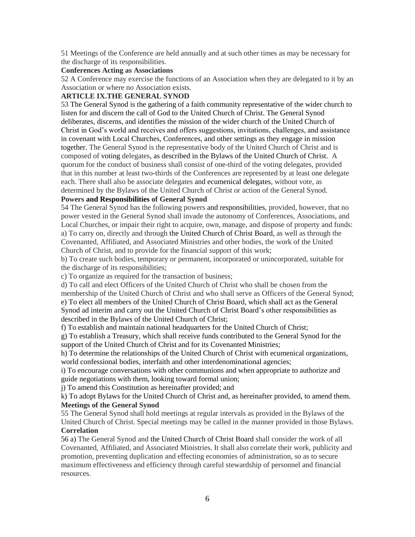51 Meetings of the Conference are held annually and at such other times as may be necessary for the discharge of its responsibilities.

## **Conferences Acting as Associations**

52 A Conference may exercise the functions of an Association when they are delegated to it by an Association or where no Association exists.

# **ARTICLE IX.THE GENERAL SYNOD**

53 The General Synod is the gathering of a faith community representative of the wider church to listen for and discern the call of God to the United Church of Christ. The General Synod deliberates, discerns, and identifies the mission of the wider church of the United Church of Christ in God's world and receives and offers suggestions, invitations, challenges, and assistance in covenant with Local Churches, Conferences, and other settings as they engage in mission together. The General Synod is the representative body of the United Church of Christ and is composed of voting delegates, as described in the Bylaws of the United Church of Christ. A quorum for the conduct of business shall consist of one-third of the voting delegates, provided that in this number at least two-thirds of the Conferences are represented by at least one delegate each. There shall also be associate delegates and ecumenical delegates, without vote, as determined by the Bylaws of the United Church of Christ or action of the General Synod.

# **Powers and Responsibilities of General Synod**

54 The General Synod has the following powers and responsibilities, provided, however, that no power vested in the General Synod shall invade the autonomy of Conferences, Associations, and Local Churches, or impair their right to acquire, own, manage, and dispose of property and funds: a) To carry on, directly and through the United Church of Christ Board, as well as through the Covenanted, Affiliated, and Associated Ministries and other bodies, the work of the United Church of Christ, and to provide for the financial support of this work;

b) To create such bodies, temporary or permanent, incorporated or unincorporated, suitable for the discharge of its responsibilities;

c) To organize as required for the transaction of business;

d) To call and elect Officers of the United Church of Christ who shall be chosen from the membership of the United Church of Christ and who shall serve as Officers of the General Synod; e) To elect all members of the United Church of Christ Board, which shall act as the General Synod ad interim and carry out the United Church of Christ Board's other responsibilities as described in the Bylaws of the United Church of Christ;

f) To establish and maintain national headquarters for the United Church of Christ;

g) To establish a Treasury, which shall receive funds contributed to the General Synod for the support of the United Church of Christ and for its Covenanted Ministries;

h) To determine the relationships of the United Church of Christ with ecumenical organizations, world confessional bodies, interfaith and other interdenominational agencies;

i) To encourage conversations with other communions and when appropriate to authorize and guide negotiations with them, looking toward formal union;

j) To amend this Constitution as hereinafter provided; and

k) To adopt Bylaws for the United Church of Christ and, as hereinafter provided, to amend them. **Meetings of the General Synod**

55 The General Synod shall hold meetings at regular intervals as provided in the Bylaws of the United Church of Christ. Special meetings may be called in the manner provided in those Bylaws. **Correlation**

56 a) The General Synod and the United Church of Christ Board shall consider the work of all Covenanted, Affiliated, and Associated Ministries. It shall also correlate their work, publicity and promotion, preventing duplication and effecting economies of administration, so as to secure maximum effectiveness and efficiency through careful stewardship of personnel and financial resources.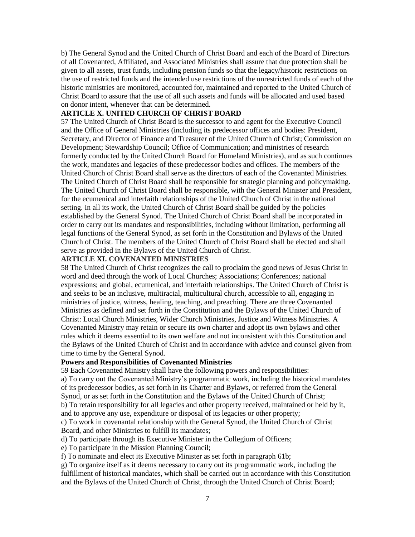b) The General Synod and the United Church of Christ Board and each of the Board of Directors of all Covenanted, Affiliated, and Associated Ministries shall assure that due protection shall be given to all assets, trust funds, including pension funds so that the legacy/historic restrictions on the use of restricted funds and the intended use restrictions of the unrestricted funds of each of the historic ministries are monitored, accounted for, maintained and reported to the United Church of Christ Board to assure that the use of all such assets and funds will be allocated and used based on donor intent, whenever that can be determined.

### **ARTICLE X. UNITED CHURCH OF CHRIST BOARD**

57 The United Church of Christ Board is the successor to and agent for the Executive Council and the Office of General Ministries (including its predecessor offices and bodies: President, Secretary, and Director of Finance and Treasurer of the United Church of Christ; Commission on Development; Stewardship Council; Office of Communication; and ministries of research formerly conducted by the United Church Board for Homeland Ministries), and as such continues the work, mandates and legacies of these predecessor bodies and offices. The members of the United Church of Christ Board shall serve as the directors of each of the Covenanted Ministries. The United Church of Christ Board shall be responsible for strategic planning and policymaking. The United Church of Christ Board shall be responsible, with the General Minister and President, for the ecumenical and interfaith relationships of the United Church of Christ in the national setting. In all its work, the United Church of Christ Board shall be guided by the policies established by the General Synod. The United Church of Christ Board shall be incorporated in order to carry out its mandates and responsibilities, including without limitation, performing all legal functions of the General Synod, as set forth in the Constitution and Bylaws of the United Church of Christ. The members of the United Church of Christ Board shall be elected and shall serve as provided in the Bylaws of the United Church of Christ.

## **ARTICLE XI. COVENANTED MINISTRIES**

58 The United Church of Christ recognizes the call to proclaim the good news of Jesus Christ in word and deed through the work of Local Churches; Associations; Conferences; national expressions; and global, ecumenical, and interfaith relationships. The United Church of Christ is and seeks to be an inclusive, multiracial, multicultural church, accessible to all, engaging in ministries of justice, witness, healing, teaching, and preaching. There are three Covenanted Ministries as defined and set forth in the Constitution and the Bylaws of the United Church of Christ: Local Church Ministries, Wider Church Ministries, Justice and Witness Ministries. A Covenanted Ministry may retain or secure its own charter and adopt its own bylaws and other rules which it deems essential to its own welfare and not inconsistent with this Constitution and the Bylaws of the United Church of Christ and in accordance with advice and counsel given from time to time by the General Synod.

### **Powers and Responsibilities of Covenanted Ministries**

59 Each Covenanted Ministry shall have the following powers and responsibilities:

a) To carry out the Covenanted Ministry's programmatic work, including the historical mandates of its predecessor bodies, as set forth in its Charter and Bylaws, or referred from the General Synod, or as set forth in the Constitution and the Bylaws of the United Church of Christ; b) To retain responsibility for all legacies and other property received, maintained or held by it,

and to approve any use, expenditure or disposal of its legacies or other property;

c) To work in covenantal relationship with the General Synod, the United Church of Christ Board, and other Ministries to fulfill its mandates;

d) To participate through its Executive Minister in the Collegium of Officers;

e) To participate in the Mission Planning Council;

f) To nominate and elect its Executive Minister as set forth in paragraph 61b;

g) To organize itself as it deems necessary to carry out its programmatic work, including the fulfillment of historical mandates, which shall be carried out in accordance with this Constitution and the Bylaws of the United Church of Christ, through the United Church of Christ Board;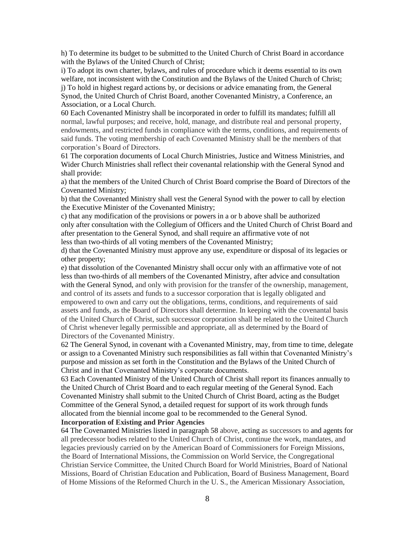h) To determine its budget to be submitted to the United Church of Christ Board in accordance with the Bylaws of the United Church of Christ;

i) To adopt its own charter, bylaws, and rules of procedure which it deems essential to its own welfare, not inconsistent with the Constitution and the Bylaws of the United Church of Christ; j) To hold in highest regard actions by, or decisions or advice emanating from, the General Synod, the United Church of Christ Board, another Covenanted Ministry, a Conference, an Association, or a Local Church.

60 Each Covenanted Ministry shall be incorporated in order to fulfill its mandates; fulfill all normal, lawful purposes; and receive, hold, manage, and distribute real and personal property, endowments, and restricted funds in compliance with the terms, conditions, and requirements of said funds. The voting membership of each Covenanted Ministry shall be the members of that corporation's Board of Directors.

61 The corporation documents of Local Church Ministries, Justice and Witness Ministries, and Wider Church Ministries shall reflect their covenantal relationship with the General Synod and shall provide:

a) that the members of the United Church of Christ Board comprise the Board of Directors of the Covenanted Ministry;

b) that the Covenanted Ministry shall vest the General Synod with the power to call by election the Executive Minister of the Covenanted Ministry;

c) that any modification of the provisions or powers in a or b above shall be authorized only after consultation with the Collegium of Officers and the United Church of Christ Board and after presentation to the General Synod, and shall require an affirmative vote of not less than two-thirds of all voting members of the Covenanted Ministry;

d) that the Covenanted Ministry must approve any use, expenditure or disposal of its legacies or other property;

e) that dissolution of the Covenanted Ministry shall occur only with an affirmative vote of not less than two-thirds of all members of the Covenanted Ministry, after advice and consultation with the General Synod, and only with provision for the transfer of the ownership, management, and control of its assets and funds to a successor corporation that is legally obligated and empowered to own and carry out the obligations, terms, conditions, and requirements of said assets and funds, as the Board of Directors shall determine. In keeping with the covenantal basis of the United Church of Christ, such successor corporation shall be related to the United Church of Christ whenever legally permissible and appropriate, all as determined by the Board of Directors of the Covenanted Ministry.

62 The General Synod, in covenant with a Covenanted Ministry, may, from time to time, delegate or assign to a Covenanted Ministry such responsibilities as fall within that Covenanted Ministry's purpose and mission as set forth in the Constitution and the Bylaws of the United Church of Christ and in that Covenanted Ministry's corporate documents.

63 Each Covenanted Ministry of the United Church of Christ shall report its finances annually to the United Church of Christ Board and to each regular meeting of the General Synod. Each Covenanted Ministry shall submit to the United Church of Christ Board, acting as the Budget Committee of the General Synod, a detailed request for support of its work through funds allocated from the biennial income goal to be recommended to the General Synod. **Incorporation of Existing and Prior Agencies**

64 The Covenanted Ministries listed in paragraph 58 above, acting as successors to and agents for all predecessor bodies related to the United Church of Christ, continue the work, mandates, and legacies previously carried on by the American Board of Commissioners for Foreign Missions, the Board of International Missions, the Commission on World Service, the Congregational Christian Service Committee, the United Church Board for World Ministries, Board of National Missions, Board of Christian Education and Publication, Board of Business Management, Board of Home Missions of the Reformed Church in the U. S., the American Missionary Association,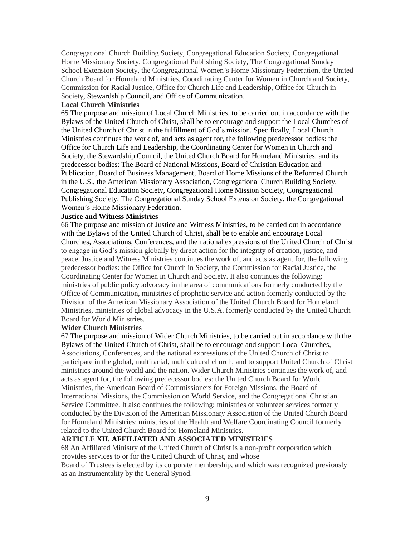Congregational Church Building Society, Congregational Education Society, Congregational Home Missionary Society, Congregational Publishing Society, The Congregational Sunday School Extension Society, the Congregational Women's Home Missionary Federation, the United Church Board for Homeland Ministries, Coordinating Center for Women in Church and Society, Commission for Racial Justice, Office for Church Life and Leadership, Office for Church in Society, Stewardship Council, and Office of Communication.

#### **Local Church Ministries**

65 The purpose and mission of Local Church Ministries, to be carried out in accordance with the Bylaws of the United Church of Christ, shall be to encourage and support the Local Churches of the United Church of Christ in the fulfillment of God's mission. Specifically, Local Church Ministries continues the work of, and acts as agent for, the following predecessor bodies: the Office for Church Life and Leadership, the Coordinating Center for Women in Church and Society, the Stewardship Council, the United Church Board for Homeland Ministries, and its predecessor bodies: The Board of National Missions, Board of Christian Education and Publication, Board of Business Management, Board of Home Missions of the Reformed Church in the U.S., the American Missionary Association, Congregational Church Building Society, Congregational Education Society, Congregational Home Mission Society, Congregational Publishing Society, The Congregational Sunday School Extension Society, the Congregational Women's Home Missionary Federation.

#### **Justice and Witness Ministries**

66 The purpose and mission of Justice and Witness Ministries, to be carried out in accordance with the Bylaws of the United Church of Christ, shall be to enable and encourage Local Churches, Associations, Conferences, and the national expressions of the United Church of Christ to engage in God's mission globally by direct action for the integrity of creation, justice, and peace. Justice and Witness Ministries continues the work of, and acts as agent for, the following predecessor bodies: the Office for Church in Society, the Commission for Racial Justice, the Coordinating Center for Women in Church and Society. It also continues the following: ministries of public policy advocacy in the area of communications formerly conducted by the Office of Communication, ministries of prophetic service and action formerly conducted by the Division of the American Missionary Association of the United Church Board for Homeland Ministries, ministries of global advocacy in the U.S.A. formerly conducted by the United Church Board for World Ministries.

#### **Wider Church Ministries**

67 The purpose and mission of Wider Church Ministries, to be carried out in accordance with the Bylaws of the United Church of Christ, shall be to encourage and support Local Churches, Associations, Conferences, and the national expressions of the United Church of Christ to participate in the global, multiracial, multicultural church, and to support United Church of Christ ministries around the world and the nation. Wider Church Ministries continues the work of, and acts as agent for, the following predecessor bodies: the United Church Board for World Ministries, the American Board of Commissioners for Foreign Missions, the Board of International Missions, the Commission on World Service, and the Congregational Christian Service Committee. It also continues the following: ministries of volunteer services formerly conducted by the Division of the American Missionary Association of the United Church Board for Homeland Ministries; ministries of the Health and Welfare Coordinating Council formerly related to the United Church Board for Homeland Ministries.

#### **ARTICLE XII. AFFILIATED AND ASSOCIATED MINISTRIES**

68 An Affiliated Ministry of the United Church of Christ is a non-profit corporation which provides services to or for the United Church of Christ, and whose

Board of Trustees is elected by its corporate membership, and which was recognized previously as an Instrumentality by the General Synod.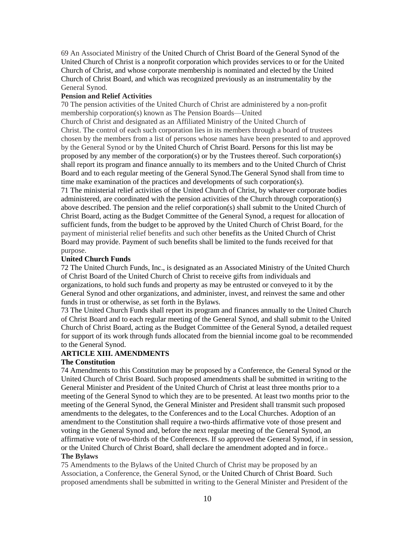69 An Associated Ministry of the United Church of Christ Board of the General Synod of the United Church of Christ is a nonprofit corporation which provides services to or for the United Church of Christ, and whose corporate membership is nominated and elected by the United Church of Christ Board, and which was recognized previously as an instrumentality by the General Synod.

### **Pension and Relief Activities**

70 The pension activities of the United Church of Christ are administered by a non-profit membership corporation(s) known as The Pension Boards—United

Church of Christ and designated as an Affiliated Ministry of the United Church of Christ. The control of each such corporation lies in its members through a board of trustees chosen by the members from a list of persons whose names have been presented to and approved by the General Synod or by the United Church of Christ Board. Persons for this list may be proposed by any member of the corporation(s) or by the Trustees thereof. Such corporation(s) shall report its program and finance annually to its members and to the United Church of Christ Board and to each regular meeting of the General Synod.The General Synod shall from time to time make examination of the practices and developments of such corporation(s).

71 The ministerial relief activities of the United Church of Christ, by whatever corporate bodies administered, are coordinated with the pension activities of the Church through corporation(s) above described. The pension and the relief corporation(s) shall submit to the United Church of Christ Board, acting as the Budget Committee of the General Synod, a request for allocation of sufficient funds, from the budget to be approved by the United Church of Christ Board, for the payment of ministerial relief benefits and such other benefits as the United Church of Christ Board may provide. Payment of such benefits shall be limited to the funds received for that purpose.

### **United Church Funds**

72 The United Church Funds, Inc., is designated as an Associated Ministry of the United Church of Christ Board of the United Church of Christ to receive gifts from individuals and organizations, to hold such funds and property as may be entrusted or conveyed to it by the General Synod and other organizations, and administer, invest, and reinvest the same and other funds in trust or otherwise, as set forth in the Bylaws.

73 The United Church Funds shall report its program and finances annually to the United Church of Christ Board and to each regular meeting of the General Synod, and shall submit to the United Church of Christ Board, acting as the Budget Committee of the General Synod, a detailed request for support of its work through funds allocated from the biennial income goal to be recommended to the General Synod.

#### **ARTICLE XIII. AMENDMENTS**

#### **The Constitution**

74 Amendments to this Constitution may be proposed by a Conference, the General Synod or the United Church of Christ Board. Such proposed amendments shall be submitted in writing to the General Minister and President of the United Church of Christ at least three months prior to a meeting of the General Synod to which they are to be presented. At least two months prior to the meeting of the General Synod, the General Minister and President shall transmit such proposed amendments to the delegates, to the Conferences and to the Local Churches. Adoption of an amendment to the Constitution shall require a two-thirds affirmative vote of those present and voting in the General Synod and, before the next regular meeting of the General Synod, an affirmative vote of two-thirds of the Conferences. If so approved the General Synod, if in session, or the United Church of Christ Board, shall declare the amendment adopted and in force.<sup>1</sup> **The Bylaws**

## 75 Amendments to the Bylaws of the United Church of Christ may be proposed by an Association, a Conference, the General Synod, or the United Church of Christ Board. Such proposed amendments shall be submitted in writing to the General Minister and President of the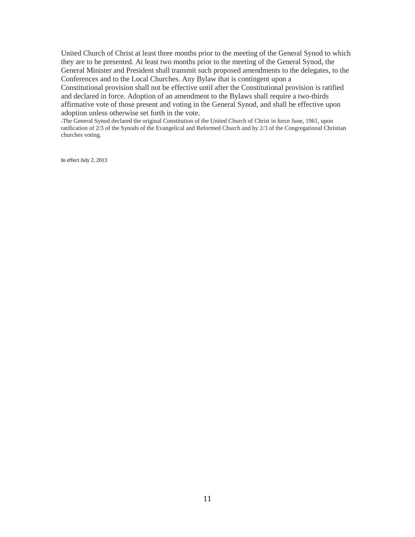United Church of Christ at least three months prior to the meeting of the General Synod to which they are to be presented. At least two months prior to the meeting of the General Synod, the General Minister and President shall transmit such proposed amendments to the delegates, to the Conferences and to the Local Churches. Any Bylaw that is contingent upon a Constitutional provision shall not be effective until after the Constitutional provision is ratified and declared in force. Adoption of an amendment to the Bylaws shall require a two-thirds affirmative vote of those present and voting in the General Synod, and shall be effective upon adoption unless otherwise set forth in the vote.

<sup>1</sup>The General Synod declared the original Constitution of the United Church of Christ in force June, 1961, upon ratification of 2/3 of the Synods of the Evangelical and Reformed Church and by 2/3 of the Congregational Christian churches voting.

In effect July 2, 2013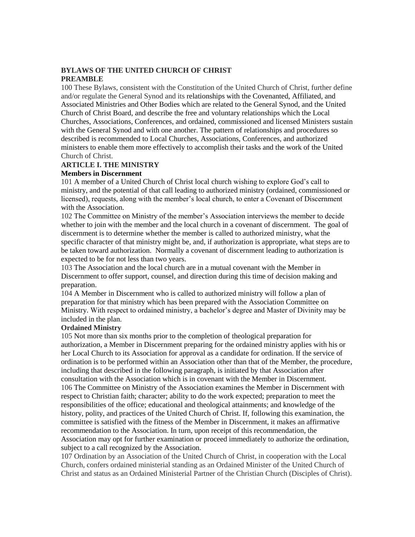# **BYLAWS OF THE UNITED CHURCH OF CHRIST PREAMBLE**

100 These Bylaws, consistent with the Constitution of the United Church of Christ, further define and/or regulate the General Synod and its relationships with the Covenanted, Affiliated, and Associated Ministries and Other Bodies which are related to the General Synod, and the United Church of Christ Board, and describe the free and voluntary relationships which the Local Churches, Associations, Conferences, and ordained, commissioned and licensed Ministers sustain with the General Synod and with one another. The pattern of relationships and procedures so described is recommended to Local Churches, Associations, Conferences, and authorized ministers to enable them more effectively to accomplish their tasks and the work of the United Church of Christ.

## **ARTICLE I. THE MINISTRY**

### **Members in Discernment**

101 A member of a United Church of Christ local church wishing to explore God's call to ministry, and the potential of that call leading to authorized ministry (ordained, commissioned or licensed), requests, along with the member's local church, to enter a Covenant of Discernment with the Association.

102 The Committee on Ministry of the member's Association interviews the member to decide whether to join with the member and the local church in a covenant of discernment. The goal of discernment is to determine whether the member is called to authorized ministry, what the specific character of that ministry might be, and, if authorization is appropriate, what steps are to be taken toward authorization. Normally a covenant of discernment leading to authorization is expected to be for not less than two years.

103 The Association and the local church are in a mutual covenant with the Member in Discernment to offer support, counsel, and direction during this time of decision making and preparation.

104 A Member in Discernment who is called to authorized ministry will follow a plan of preparation for that ministry which has been prepared with the Association Committee on Ministry. With respect to ordained ministry, a bachelor's degree and Master of Divinity may be included in the plan.

#### **Ordained Ministry**

105 Not more than six months prior to the completion of theological preparation for authorization, a Member in Discernment preparing for the ordained ministry applies with his or her Local Church to its Association for approval as a candidate for ordination. If the service of ordination is to be performed within an Association other than that of the Member, the procedure, including that described in the following paragraph, is initiated by that Association after consultation with the Association which is in covenant with the Member in Discernment. 106 The Committee on Ministry of the Association examines the Member in Discernment with respect to Christian faith; character; ability to do the work expected; preparation to meet the responsibilities of the office; educational and theological attainments; and knowledge of the history, polity, and practices of the United Church of Christ. If, following this examination, the committee is satisfied with the fitness of the Member in Discernment, it makes an affirmative recommendation to the Association. In turn, upon receipt of this recommendation, the Association may opt for further examination or proceed immediately to authorize the ordination, subject to a call recognized by the Association.

107 Ordination by an Association of the United Church of Christ, in cooperation with the Local Church, confers ordained ministerial standing as an Ordained Minister of the United Church of Christ and status as an Ordained Ministerial Partner of the Christian Church (Disciples of Christ).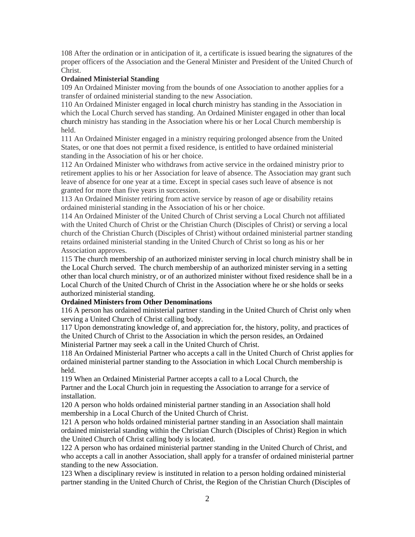108 After the ordination or in anticipation of it, a certificate is issued bearing the signatures of the proper officers of the Association and the General Minister and President of the United Church of Christ.

## **Ordained Ministerial Standing**

109 An Ordained Minister moving from the bounds of one Association to another applies for a transfer of ordained ministerial standing to the new Association.

110 An Ordained Minister engaged in local church ministry has standing in the Association in which the Local Church served has standing. An Ordained Minister engaged in other than local church ministry has standing in the Association where his or her Local Church membership is held.

111 An Ordained Minister engaged in a ministry requiring prolonged absence from the United States, or one that does not permit a fixed residence, is entitled to have ordained ministerial standing in the Association of his or her choice.

112 An Ordained Minister who withdraws from active service in the ordained ministry prior to retirement applies to his or her Association for leave of absence. The Association may grant such leave of absence for one year at a time. Except in special cases such leave of absence is not granted for more than five years in succession.

113 An Ordained Minister retiring from active service by reason of age or disability retains ordained ministerial standing in the Association of his or her choice.

114 An Ordained Minister of the United Church of Christ serving a Local Church not affiliated with the United Church of Christ or the Christian Church (Disciples of Christ) or serving a local church of the Christian Church (Disciples of Christ) without ordained ministerial partner standing retains ordained ministerial standing in the United Church of Christ so long as his or her Association approves.

115 The church membership of an authorized minister serving in local church ministry shall be in the Local Church served. The church membership of an authorized minister serving in a setting other than local church ministry, or of an authorized minister without fixed residence shall be in a Local Church of the United Church of Christ in the Association where he or she holds or seeks authorized ministerial standing.

## **Ordained Ministers from Other Denominations**

116 A person has ordained ministerial partner standing in the United Church of Christ only when serving a United Church of Christ calling body.

117 Upon demonstrating knowledge of, and appreciation for, the history, polity, and practices of the United Church of Christ to the Association in which the person resides, an Ordained Ministerial Partner may seek a call in the United Church of Christ.

118 An Ordained Ministerial Partner who accepts a call in the United Church of Christ applies for ordained ministerial partner standing to the Association in which Local Church membership is held.

119 When an Ordained Ministerial Partner accepts a call to a Local Church, the Partner and the Local Church join in requesting the Association to arrange for a service of installation.

120 A person who holds ordained ministerial partner standing in an Association shall hold membership in a Local Church of the United Church of Christ.

121 A person who holds ordained ministerial partner standing in an Association shall maintain ordained ministerial standing within the Christian Church (Disciples of Christ) Region in which the United Church of Christ calling body is located.

122 A person who has ordained ministerial partner standing in the United Church of Christ, and who accepts a call in another Association, shall apply for a transfer of ordained ministerial partner standing to the new Association.

123 When a disciplinary review is instituted in relation to a person holding ordained ministerial partner standing in the United Church of Christ, the Region of the Christian Church (Disciples of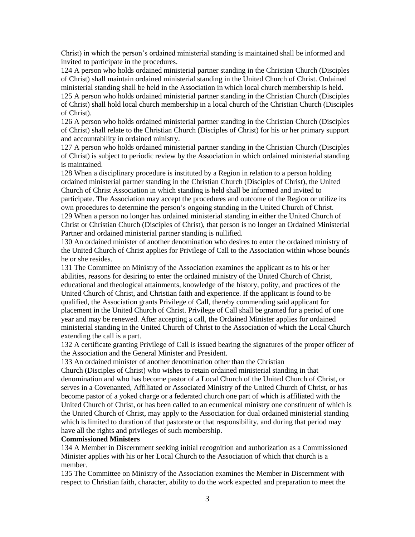Christ) in which the person's ordained ministerial standing is maintained shall be informed and invited to participate in the procedures.

124 A person who holds ordained ministerial partner standing in the Christian Church (Disciples of Christ) shall maintain ordained ministerial standing in the United Church of Christ. Ordained ministerial standing shall be held in the Association in which local church membership is held. 125 A person who holds ordained ministerial partner standing in the Christian Church (Disciples of Christ) shall hold local church membership in a local church of the Christian Church (Disciples of Christ).

126 A person who holds ordained ministerial partner standing in the Christian Church (Disciples of Christ) shall relate to the Christian Church (Disciples of Christ) for his or her primary support and accountability in ordained ministry.

127 A person who holds ordained ministerial partner standing in the Christian Church (Disciples of Christ) is subject to periodic review by the Association in which ordained ministerial standing is maintained.

128 When a disciplinary procedure is instituted by a Region in relation to a person holding ordained ministerial partner standing in the Christian Church (Disciples of Christ), the United Church of Christ Association in which standing is held shall be informed and invited to participate. The Association may accept the procedures and outcome of the Region or utilize its own procedures to determine the person's ongoing standing in the United Church of Christ. 129 When a person no longer has ordained ministerial standing in either the United Church of Christ or Christian Church (Disciples of Christ), that person is no longer an Ordained Ministerial Partner and ordained ministerial partner standing is nullified.

130 An ordained minister of another denomination who desires to enter the ordained ministry of the United Church of Christ applies for Privilege of Call to the Association within whose bounds he or she resides.

131 The Committee on Ministry of the Association examines the applicant as to his or her abilities, reasons for desiring to enter the ordained ministry of the United Church of Christ, educational and theological attainments, knowledge of the history, polity, and practices of the United Church of Christ, and Christian faith and experience. If the applicant is found to be qualified, the Association grants Privilege of Call, thereby commending said applicant for placement in the United Church of Christ. Privilege of Call shall be granted for a period of one year and may be renewed. After accepting a call, the Ordained Minister applies for ordained ministerial standing in the United Church of Christ to the Association of which the Local Church extending the call is a part.

132 A certificate granting Privilege of Call is issued bearing the signatures of the proper officer of the Association and the General Minister and President.

133 An ordained minister of another denomination other than the Christian

Church (Disciples of Christ) who wishes to retain ordained ministerial standing in that denomination and who has become pastor of a Local Church of the United Church of Christ, or serves in a Covenanted, Affiliated or Associated Ministry of the United Church of Christ, or has become pastor of a yoked charge or a federated church one part of which is affiliated with the United Church of Christ, or has been called to an ecumenical ministry one constituent of which is the United Church of Christ, may apply to the Association for dual ordained ministerial standing which is limited to duration of that pastorate or that responsibility, and during that period may have all the rights and privileges of such membership.

#### **Commissioned Ministers**

134 A Member in Discernment seeking initial recognition and authorization as a Commissioned Minister applies with his or her Local Church to the Association of which that church is a member.

135 The Committee on Ministry of the Association examines the Member in Discernment with respect to Christian faith, character, ability to do the work expected and preparation to meet the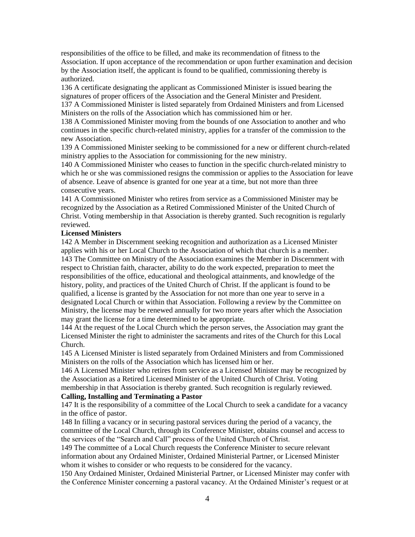responsibilities of the office to be filled, and make its recommendation of fitness to the Association. If upon acceptance of the recommendation or upon further examination and decision by the Association itself, the applicant is found to be qualified, commissioning thereby is authorized.

136 A certificate designating the applicant as Commissioned Minister is issued bearing the signatures of proper officers of the Association and the General Minister and President.

137 A Commissioned Minister is listed separately from Ordained Ministers and from Licensed Ministers on the rolls of the Association which has commissioned him or her.

138 A Commissioned Minister moving from the bounds of one Association to another and who continues in the specific church-related ministry, applies for a transfer of the commission to the new Association.

139 A Commissioned Minister seeking to be commissioned for a new or different church-related ministry applies to the Association for commissioning for the new ministry.

140 A Commissioned Minister who ceases to function in the specific church-related ministry to which he or she was commissioned resigns the commission or applies to the Association for leave of absence. Leave of absence is granted for one year at a time, but not more than three consecutive years.

141 A Commissioned Minister who retires from service as a Commissioned Minister may be recognized by the Association as a Retired Commissioned Minister of the United Church of Christ. Voting membership in that Association is thereby granted. Such recognition is regularly reviewed.

#### **Licensed Ministers**

142 A Member in Discernment seeking recognition and authorization as a Licensed Minister applies with his or her Local Church to the Association of which that church is a member. 143 The Committee on Ministry of the Association examines the Member in Discernment with respect to Christian faith, character, ability to do the work expected, preparation to meet the responsibilities of the office, educational and theological attainments, and knowledge of the history, polity, and practices of the United Church of Christ. If the applicant is found to be qualified, a license is granted by the Association for not more than one year to serve in a designated Local Church or within that Association. Following a review by the Committee on Ministry, the license may be renewed annually for two more years after which the Association may grant the license for a time determined to be appropriate.

144 At the request of the Local Church which the person serves, the Association may grant the Licensed Minister the right to administer the sacraments and rites of the Church for this Local Church.

145 A Licensed Minister is listed separately from Ordained Ministers and from Commissioned Ministers on the rolls of the Association which has licensed him or her.

146 A Licensed Minister who retires from service as a Licensed Minister may be recognized by the Association as a Retired Licensed Minister of the United Church of Christ. Voting

membership in that Association is thereby granted. Such recognition is regularly reviewed. **Calling, Installing and Terminating a Pastor**

147 It is the responsibility of a committee of the Local Church to seek a candidate for a vacancy in the office of pastor.

148 In filling a vacancy or in securing pastoral services during the period of a vacancy, the committee of the Local Church, through its Conference Minister, obtains counsel and access to the services of the "Search and Call" process of the United Church of Christ.

149 The committee of a Local Church requests the Conference Minister to secure relevant information about any Ordained Minister, Ordained Ministerial Partner, or Licensed Minister whom it wishes to consider or who requests to be considered for the vacancy.

150 Any Ordained Minister, Ordained Ministerial Partner, or Licensed Minister may confer with the Conference Minister concerning a pastoral vacancy. At the Ordained Minister's request or at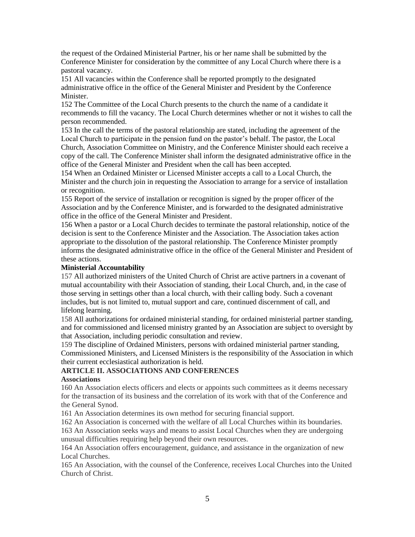the request of the Ordained Ministerial Partner, his or her name shall be submitted by the Conference Minister for consideration by the committee of any Local Church where there is a pastoral vacancy.

151 All vacancies within the Conference shall be reported promptly to the designated administrative office in the office of the General Minister and President by the Conference Minister.

152 The Committee of the Local Church presents to the church the name of a candidate it recommends to fill the vacancy. The Local Church determines whether or not it wishes to call the person recommended.

153 In the call the terms of the pastoral relationship are stated, including the agreement of the Local Church to participate in the pension fund on the pastor's behalf. The pastor, the Local Church, Association Committee on Ministry, and the Conference Minister should each receive a copy of the call. The Conference Minister shall inform the designated administrative office in the office of the General Minister and President when the call has been accepted.

154 When an Ordained Minister or Licensed Minister accepts a call to a Local Church, the Minister and the church join in requesting the Association to arrange for a service of installation or recognition.

155 Report of the service of installation or recognition is signed by the proper officer of the Association and by the Conference Minister, and is forwarded to the designated administrative office in the office of the General Minister and President.

156 When a pastor or a Local Church decides to terminate the pastoral relationship, notice of the decision is sent to the Conference Minister and the Association. The Association takes action appropriate to the dissolution of the pastoral relationship. The Conference Minister promptly informs the designated administrative office in the office of the General Minister and President of these actions.

## **Ministerial Accountability**

157 All authorized ministers of the United Church of Christ are active partners in a covenant of mutual accountability with their Association of standing, their Local Church, and, in the case of those serving in settings other than a local church, with their calling body. Such a covenant includes, but is not limited to, mutual support and care, continued discernment of call, and lifelong learning.

158 All authorizations for ordained ministerial standing, for ordained ministerial partner standing, and for commissioned and licensed ministry granted by an Association are subject to oversight by that Association, including periodic consultation and review.

159 The discipline of Ordained Ministers, persons with ordained ministerial partner standing, Commissioned Ministers, and Licensed Ministers is the responsibility of the Association in which their current ecclesiastical authorization is held.

### **ARTICLE II. ASSOCIATIONS AND CONFERENCES Associations**

160 An Association elects officers and elects or appoints such committees as it deems necessary for the transaction of its business and the correlation of its work with that of the Conference and the General Synod.

161 An Association determines its own method for securing financial support.

162 An Association is concerned with the welfare of all Local Churches within its boundaries.

163 An Association seeks ways and means to assist Local Churches when they are undergoing unusual difficulties requiring help beyond their own resources.

164 An Association offers encouragement, guidance, and assistance in the organization of new Local Churches.

165 An Association, with the counsel of the Conference, receives Local Churches into the United Church of Christ.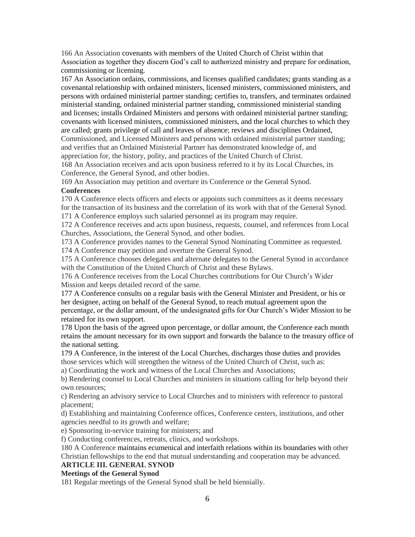166 An Association covenants with members of the United Church of Christ within that Association as together they discern God's call to authorized ministry and prepare for ordination, commissioning or licensing.

167 An Association ordains, commissions, and licenses qualified candidates; grants standing as a covenantal relationship with ordained ministers, licensed ministers, commissioned ministers, and persons with ordained ministerial partner standing; certifies to, transfers, and terminates ordained ministerial standing, ordained ministerial partner standing, commissioned ministerial standing and licenses; installs Ordained Ministers and persons with ordained ministerial partner standing; covenants with licensed ministers, commissioned ministers, and the local churches to which they are called; grants privilege of call and leaves of absence; reviews and disciplines Ordained, Commissioned, and Licensed Ministers and persons with ordained ministerial partner standing; and verifies that an Ordained Ministerial Partner has demonstrated knowledge of, and appreciation for, the history, polity, and practices of the United Church of Christ.

168 An Association receives and acts upon business referred to it by its Local Churches, its Conference, the General Synod, and other bodies.

169 An Association may petition and overture its Conference or the General Synod.

### **Conferences**

170 A Conference elects officers and elects or appoints such committees as it deems necessary for the transaction of its business and the correlation of its work with that of the General Synod. 171 A Conference employs such salaried personnel as its program may require.

172 A Conference receives and acts upon business, requests, counsel, and references from Local Churches, Associations, the General Synod, and other bodies.

173 A Conference provides names to the General Synod Nominating Committee as requested.

174 A Conference may petition and overture the General Synod.

175 A Conference chooses delegates and alternate delegates to the General Synod in accordance with the Constitution of the United Church of Christ and these Bylaws.

176 A Conference receives from the Local Churches contributions for Our Church's Wider Mission and keeps detailed record of the same.

177 A Conference consults on a regular basis with the General Minister and President, or his or her designee, acting on behalf of the General Synod, to reach mutual agreement upon the percentage, or the dollar amount, of the undesignated gifts for Our Church's Wider Mission to be retained for its own support.

178 Upon the basis of the agreed upon percentage, or dollar amount, the Conference each month retains the amount necessary for its own support and forwards the balance to the treasury office of the national setting.

179 A Conference, in the interest of the Local Churches, discharges those duties and provides those services which will strengthen the witness of the United Church of Christ, such as:

a) Coordinating the work and witness of the Local Churches and Associations;

b) Rendering counsel to Local Churches and ministers in situations calling for help beyond their own resources;

c) Rendering an advisory service to Local Churches and to ministers with reference to pastoral placement;

d) Establishing and maintaining Conference offices, Conference centers, institutions, and other agencies needful to its growth and welfare;

e) Sponsoring in-service training for ministers; and

f) Conducting conferences, retreats, clinics, and workshops.

180 A Conference maintains ecumenical and interfaith relations within its boundaries with other Christian fellowships to the end that mutual understanding and cooperation may be advanced.

## **ARTICLE III. GENERAL SYNOD**

**Meetings of the General Synod**

181 Regular meetings of the General Synod shall be held biennially.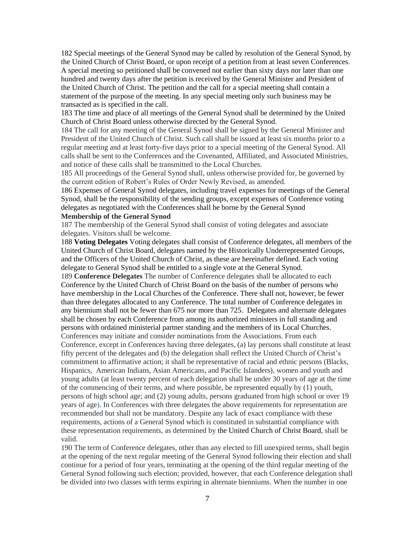182 Special meetings of the General Synod may be called by resolution of the General Synod, by the United Church of Christ Board, or upon receipt of a petition from at least seven Conferences. A special meeting so petitioned shall be convened not earlier than sixty days nor later than one hundred and twenty days after the petition is received by the General Minister and President of the United Church of Christ. The petition and the call for a special meeting shall contain a statement of the purpose of the meeting. In any special meeting only such business may be transacted as is specified in the call.

183 The time and place of all meetings of the General Synod shall be determined by the United Church of Christ Board unless otherwise directed by the General Synod.

184 The call for any meeting of the General Synod shall be signed by the General Minister and President of the United Church of Christ. Such call shall be issued at least six months prior to a regular meeting and at least forty-five days prior to a special meeting of the General Synod. All calls shall be sent to the Conferences and the Covenanted, Affiliated, and Associated Ministries, and notice of these calls shall be transmitted to the Local Churches.

185 All proceedings of the General Synod shall, unless otherwise provided for, be governed by the current edition of Robert's Rules of Order Newly Revised, as amended.

186 Expenses of General Synod delegates, including travel expenses for meetings of the General Synod, shall be the responsibility of the sending groups, except expenses of Conference voting delegates as negotiated with the Conferences shall be borne by the General Synod **Membership of the General Synod**

187 The membership of the General Synod shall consist of voting delegates and associate delegates. Visitors shall be welcome.

188 **Voting Delegates** Voting delegates shall consist of Conference delegates, all members of the United Church of Christ Board, delegates named by the Historically Underrepresented Groups, and the Officers of the United Church of Christ, as these are hereinafter defined. Each voting delegate to General Synod shall be entitled to a single vote at the General Synod.

189 **Conference Delegates** The number of Conference delegates shall be allocated to each Conference by the United Church of Christ Board on the basis of the number of persons who have membership in the Local Churches of the Conference. There shall not, however, be fewer than three delegates allocated to any Conference. The total number of Conference delegates in any biennium shall not be fewer than 675 nor more than 725. Delegates and alternate delegates shall be chosen by each Conference from among its authorized ministers in full standing and persons with ordained ministerial partner standing and the members of its Local Churches. Conferences may initiate and consider nominations from the Associations. From each Conference, except in Conferences having three delegates, (a) lay persons shall constitute at least fifty percent of the delegates and (b) the delegation shall reflect the United Church of Christ's commitment to affirmative action; it shall be representative of racial and ethnic persons (Blacks, Hispanics, American Indians, Asian Americans, and Pacific Islanders), women and youth and young adults (at least twenty percent of each delegation shall be under 30 years of age at the time of the commencing of their terms, and where possible, be represented equally by (1) youth, persons of high school age; and (2) young adults, persons graduated from high school or over 19 years of age). In Conferences with three delegates the above requirements for representation are recommended but shall not be mandatory. Despite any lack of exact compliance with these requirements, actions of a General Synod which is constituted in substantial compliance with these representation requirements, as determined by the United Church of Christ Board, shall be valid.

190 The term of Conference delegates, other than any elected to fill unexpired terms, shall begin at the opening of the next regular meeting of the General Synod following their election and shall continue for a period of four years, terminating at the opening of the third regular meeting of the General Synod following such election; provided, however, that each Conference delegation shall be divided into two classes with terms expiring in alternate bienniums. When the number in one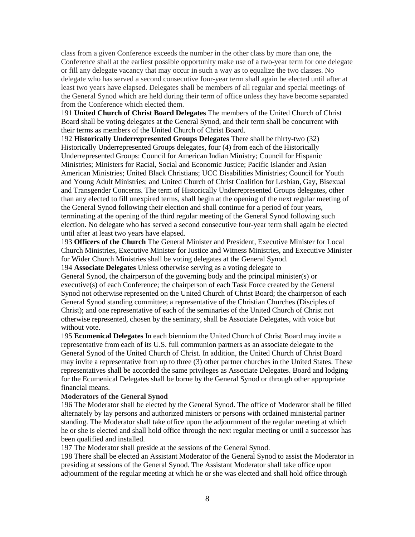class from a given Conference exceeds the number in the other class by more than one, the Conference shall at the earliest possible opportunity make use of a two-year term for one delegate or fill any delegate vacancy that may occur in such a way as to equalize the two classes. No delegate who has served a second consecutive four-year term shall again be elected until after at least two years have elapsed. Delegates shall be members of all regular and special meetings of the General Synod which are held during their term of office unless they have become separated from the Conference which elected them.

191 **United Church of Christ Board Delegates** The members of the United Church of Christ Board shall be voting delegates at the General Synod, and their term shall be concurrent with their terms as members of the United Church of Christ Board.

192 **Historically Underrepresented Groups Delegates** There shall be thirty-two (32) Historically Underrepresented Groups delegates, four (4) from each of the Historically Underrepresented Groups: Council for American Indian Ministry; Council for Hispanic Ministries; Ministers for Racial, Social and Economic Justice; Pacific Islander and Asian American Ministries; United Black Christians; UCC Disabilities Ministries; Council for Youth and Young Adult Ministries; and United Church of Christ Coalition for Lesbian, Gay, Bisexual and Transgender Concerns. The term of Historically Underrepresented Groups delegates, other than any elected to fill unexpired terms, shall begin at the opening of the next regular meeting of the General Synod following their election and shall continue for a period of four years, terminating at the opening of the third regular meeting of the General Synod following such election. No delegate who has served a second consecutive four-year term shall again be elected until after at least two years have elapsed.

193 **Officers of the Church** The General Minister and President, Executive Minister for Local Church Ministries, Executive Minister for Justice and Witness Ministries, and Executive Minister for Wider Church Ministries shall be voting delegates at the General Synod.

194 **Associate Delegates** Unless otherwise serving as a voting delegate to

General Synod, the chairperson of the governing body and the principal minister(s) or executive(s) of each Conference; the chairperson of each Task Force created by the General Synod not otherwise represented on the United Church of Christ Board; the chairperson of each General Synod standing committee; a representative of the Christian Churches (Disciples of Christ); and one representative of each of the seminaries of the United Church of Christ not otherwise represented, chosen by the seminary, shall be Associate Delegates, with voice but without vote.

195 **Ecumenical Delegates** In each biennium the United Church of Christ Board may invite a representative from each of its U.S. full communion partners as an associate delegate to the General Synod of the United Church of Christ. In addition, the United Church of Christ Board may invite a representative from up to three (3) other partner churches in the United States. These representatives shall be accorded the same privileges as Associate Delegates. Board and lodging for the Ecumenical Delegates shall be borne by the General Synod or through other appropriate financial means.

### **Moderators of the General Synod**

196 The Moderator shall be elected by the General Synod. The office of Moderator shall be filled alternately by lay persons and authorized ministers or persons with ordained ministerial partner standing. The Moderator shall take office upon the adjournment of the regular meeting at which he or she is elected and shall hold office through the next regular meeting or until a successor has been qualified and installed.

197 The Moderator shall preside at the sessions of the General Synod.

198 There shall be elected an Assistant Moderator of the General Synod to assist the Moderator in presiding at sessions of the General Synod. The Assistant Moderator shall take office upon adjournment of the regular meeting at which he or she was elected and shall hold office through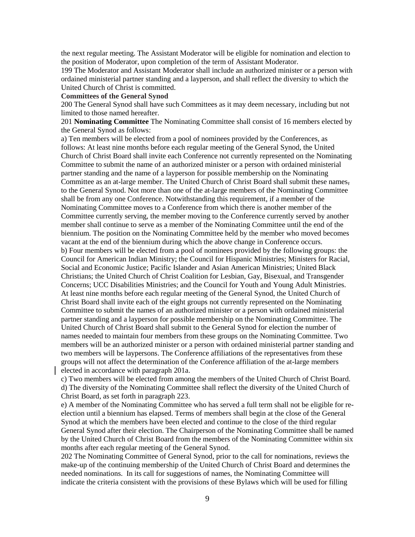the next regular meeting. The Assistant Moderator will be eligible for nomination and election to the position of Moderator, upon completion of the term of Assistant Moderator.

199 The Moderator and Assistant Moderator shall include an authorized minister or a person with ordained ministerial partner standing and a layperson, and shall reflect the diversity to which the United Church of Christ is committed.

#### **Committees of the General Synod**

200 The General Synod shall have such Committees as it may deem necessary, including but not limited to those named hereafter.

201 **Nominating Committee** The Nominating Committee shall consist of 16 members elected by the General Synod as follows:

a) Ten members will be elected from a pool of nominees provided by the Conferences, as follows: At least nine months before each regular meeting of the General Synod, the United Church of Christ Board shall invite each Conference not currently represented on the Nominating Committee to submit the name of an authorized minister or a person with ordained ministerial partner standing and the name of a layperson for possible membership on the Nominating Committee as an at-large member. The United Church of Christ Board shall submit these names, to the General Synod. Not more than one of the at-large members of the Nominating Committee shall be from any one Conference. Notwithstanding this requirement, if a member of the Nominating Committee moves to a Conference from which there is another member of the Committee currently serving, the member moving to the Conference currently served by another member shall continue to serve as a member of the Nominating Committee until the end of the biennium. The position on the Nominating Committee held by the member who moved becomes vacant at the end of the biennium during which the above change in Conference occurs. b) Four members will be elected from a pool of nominees provided by the following groups: the Council for American Indian Ministry; the Council for Hispanic Ministries; Ministers for Racial, Social and Economic Justice; Pacific Islander and Asian American Ministries; United Black Christians; the United Church of Christ Coalition for Lesbian, Gay, Bisexual, and Transgender Concerns; UCC Disabilities Ministries; and the Council for Youth and Young Adult Ministries. At least nine months before each regular meeting of the General Synod, the United Church of Christ Board shall invite each of the eight groups not currently represented on the Nominating Committee to submit the names of an authorized minister or a person with ordained ministerial partner standing and a layperson for possible membership on the Nominating Committee. The United Church of Christ Board shall submit to the General Synod for election the number of names needed to maintain four members from these groups on the Nominating Committee. Two members will be an authorized minister or a person with ordained ministerial partner standing and two members will be laypersons. The Conference affiliations of the representatives from these groups will not affect the determination of the Conference affiliation of the at-large members elected in accordance with paragraph 201a.

c) Two members will be elected from among the members of the United Church of Christ Board. d) The diversity of the Nominating Committee shall reflect the diversity of the United Church of Christ Board, as set forth in paragraph 223.

e) A member of the Nominating Committee who has served a full term shall not be eligible for reelection until a biennium has elapsed. Terms of members shall begin at the close of the General Synod at which the members have been elected and continue to the close of the third regular General Synod after their election. The Chairperson of the Nominating Committee shall be named by the United Church of Christ Board from the members of the Nominating Committee within six months after each regular meeting of the General Synod.

202 The Nominating Committee of General Synod, prior to the call for nominations, reviews the make-up of the continuing membership of the United Church of Christ Board and determines the needed nominations. In its call for suggestions of names, the Nominating Committee will indicate the criteria consistent with the provisions of these Bylaws which will be used for filling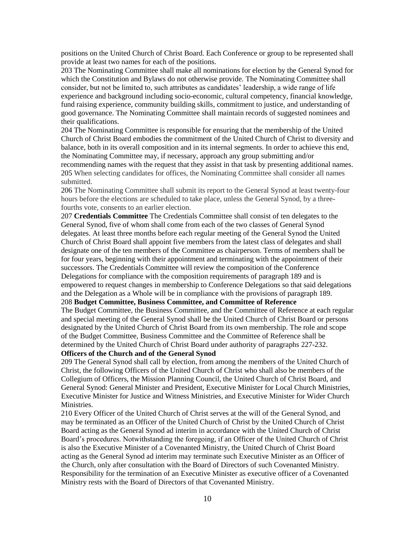positions on the United Church of Christ Board. Each Conference or group to be represented shall provide at least two names for each of the positions.

203 The Nominating Committee shall make all nominations for election by the General Synod for which the Constitution and Bylaws do not otherwise provide. The Nominating Committee shall consider, but not be limited to, such attributes as candidates' leadership, a wide range of life experience and background including socio-economic, cultural competency, financial knowledge, fund raising experience, community building skills, commitment to justice, and understanding of good governance. The Nominating Committee shall maintain records of suggested nominees and their qualifications.

204 The Nominating Committee is responsible for ensuring that the membership of the United Church of Christ Board embodies the commitment of the United Church of Christ to diversity and balance, both in its overall composition and in its internal segments. In order to achieve this end, the Nominating Committee may, if necessary, approach any group submitting and/or recommending names with the request that they assist in that task by presenting additional names. 205 When selecting candidates for offices, the Nominating Committee shall consider all names submitted.

206 The Nominating Committee shall submit its report to the General Synod at least twenty-four hours before the elections are scheduled to take place, unless the General Synod, by a threefourths vote, consents to an earlier election.

207 **Credentials Committee** The Credentials Committee shall consist of ten delegates to the General Synod, five of whom shall come from each of the two classes of General Synod delegates. At least three months before each regular meeting of the General Synod the United Church of Christ Board shall appoint five members from the latest class of delegates and shall designate one of the ten members of the Committee as chairperson. Terms of members shall be for four years, beginning with their appointment and terminating with the appointment of their successors. The Credentials Committee will review the composition of the Conference Delegations for compliance with the composition requirements of paragraph 189 and is empowered to request changes in membership to Conference Delegations so that said delegations and the Delegation as a Whole will be in compliance with the provisions of paragraph 189.

## 208 **Budget Committee, Business Committee, and Committee of Reference**

The Budget Committee, the Business Committee, and the Committee of Reference at each regular and special meeting of the General Synod shall be the United Church of Christ Board or persons designated by the United Church of Christ Board from its own membership. The role and scope of the Budget Committee, Business Committee and the Committee of Reference shall be determined by the United Church of Christ Board under authority of paragraphs 227-232.

#### **Officers of the Church and of the General Synod**

209 The General Synod shall call by election, from among the members of the United Church of Christ, the following Officers of the United Church of Christ who shall also be members of the Collegium of Officers, the Mission Planning Council, the United Church of Christ Board, and General Synod: General Minister and President, Executive Minister for Local Church Ministries, Executive Minister for Justice and Witness Ministries, and Executive Minister for Wider Church Ministries.

210 Every Officer of the United Church of Christ serves at the will of the General Synod, and may be terminated as an Officer of the United Church of Christ by the United Church of Christ Board acting as the General Synod ad interim in accordance with the United Church of Christ Board's procedures. Notwithstanding the foregoing, if an Officer of the United Church of Christ is also the Executive Minister of a Covenanted Ministry, the United Church of Christ Board acting as the General Synod ad interim may terminate such Executive Minister as an Officer of the Church, only after consultation with the Board of Directors of such Covenanted Ministry. Responsibility for the termination of an Executive Minister as executive officer of a Covenanted Ministry rests with the Board of Directors of that Covenanted Ministry.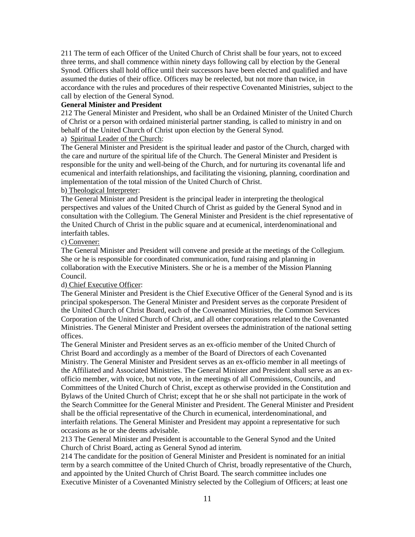211 The term of each Officer of the United Church of Christ shall be four years, not to exceed three terms, and shall commence within ninety days following call by election by the General Synod. Officers shall hold office until their successors have been elected and qualified and have assumed the duties of their office. Officers may be reelected, but not more than twice, in accordance with the rules and procedures of their respective Covenanted Ministries, subject to the call by election of the General Synod.

## **General Minister and President**

212 The General Minister and President, who shall be an Ordained Minister of the United Church of Christ or a person with ordained ministerial partner standing, is called to ministry in and on behalf of the United Church of Christ upon election by the General Synod.

### a) Spiritual Leader of the Church:

The General Minister and President is the spiritual leader and pastor of the Church, charged with the care and nurture of the spiritual life of the Church. The General Minister and President is responsible for the unity and well-being of the Church, and for nurturing its covenantal life and ecumenical and interfaith relationships, and facilitating the visioning, planning, coordination and implementation of the total mission of the United Church of Christ.

## b) Theological Interpreter:

The General Minister and President is the principal leader in interpreting the theological perspectives and values of the United Church of Christ as guided by the General Synod and in consultation with the Collegium. The General Minister and President is the chief representative of the United Church of Christ in the public square and at ecumenical, interdenominational and interfaith tables.

### c) Convener:

The General Minister and President will convene and preside at the meetings of the Collegium. She or he is responsible for coordinated communication, fund raising and planning in collaboration with the Executive Ministers. She or he is a member of the Mission Planning Council.

## d) Chief Executive Officer:

The General Minister and President is the Chief Executive Officer of the General Synod and is its principal spokesperson. The General Minister and President serves as the corporate President of the United Church of Christ Board, each of the Covenanted Ministries, the Common Services Corporation of the United Church of Christ, and all other corporations related to the Covenanted Ministries. The General Minister and President oversees the administration of the national setting offices.

The General Minister and President serves as an ex-officio member of the United Church of Christ Board and accordingly as a member of the Board of Directors of each Covenanted Ministry. The General Minister and President serves as an ex-officio member in all meetings of the Affiliated and Associated Ministries. The General Minister and President shall serve as an exofficio member, with voice, but not vote, in the meetings of all Commissions, Councils, and Committees of the United Church of Christ, except as otherwise provided in the Constitution and Bylaws of the United Church of Christ; except that he or she shall not participate in the work of the Search Committee for the General Minister and President. The General Minister and President shall be the official representative of the Church in ecumenical, interdenominational, and interfaith relations. The General Minister and President may appoint a representative for such occasions as he or she deems advisable.

213 The General Minister and President is accountable to the General Synod and the United Church of Christ Board, acting as General Synod ad interim.

214 The candidate for the position of General Minister and President is nominated for an initial term by a search committee of the United Church of Christ, broadly representative of the Church, and appointed by the United Church of Christ Board. The search committee includes one Executive Minister of a Covenanted Ministry selected by the Collegium of Officers; at least one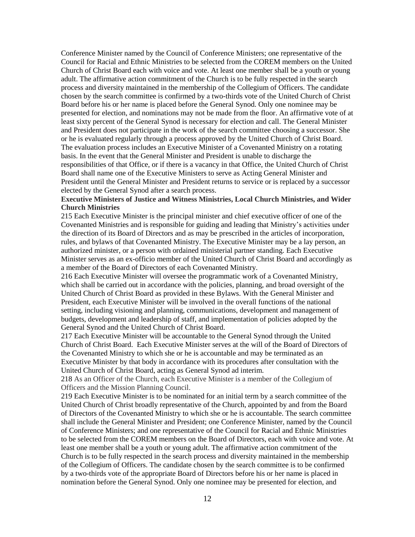Conference Minister named by the Council of Conference Ministers; one representative of the Council for Racial and Ethnic Ministries to be selected from the COREM members on the United Church of Christ Board each with voice and vote. At least one member shall be a youth or young adult. The affirmative action commitment of the Church is to be fully respected in the search process and diversity maintained in the membership of the Collegium of Officers. The candidate chosen by the search committee is confirmed by a two-thirds vote of the United Church of Christ Board before his or her name is placed before the General Synod. Only one nominee may be presented for election, and nominations may not be made from the floor. An affirmative vote of at least sixty percent of the General Synod is necessary for election and call. The General Minister and President does not participate in the work of the search committee choosing a successor. She or he is evaluated regularly through a process approved by the United Church of Christ Board. The evaluation process includes an Executive Minister of a Covenanted Ministry on a rotating basis. In the event that the General Minister and President is unable to discharge the responsibilities of that Office, or if there is a vacancy in that Office, the United Church of Christ Board shall name one of the Executive Ministers to serve as Acting General Minister and President until the General Minister and President returns to service or is replaced by a successor elected by the General Synod after a search process.

### **Executive Ministers of Justice and Witness Ministries, Local Church Ministries, and Wider Church Ministries**

215 Each Executive Minister is the principal minister and chief executive officer of one of the Covenanted Ministries and is responsible for guiding and leading that Ministry's activities under the direction of its Board of Directors and as may be prescribed in the articles of incorporation, rules, and bylaws of that Covenanted Ministry. The Executive Minister may be a lay person, an authorized minister, or a person with ordained ministerial partner standing. Each Executive Minister serves as an ex-officio member of the United Church of Christ Board and accordingly as a member of the Board of Directors of each Covenanted Ministry.

216 Each Executive Minister will oversee the programmatic work of a Covenanted Ministry, which shall be carried out in accordance with the policies, planning, and broad oversight of the United Church of Christ Board as provided in these Bylaws. With the General Minister and President, each Executive Minister will be involved in the overall functions of the national setting, including visioning and planning, communications, development and management of budgets, development and leadership of staff, and implementation of policies adopted by the General Synod and the United Church of Christ Board.

217 Each Executive Minister will be accountable to the General Synod through the United Church of Christ Board. Each Executive Minister serves at the will of the Board of Directors of the Covenanted Ministry to which she or he is accountable and may be terminated as an Executive Minister by that body in accordance with its procedures after consultation with the United Church of Christ Board, acting as General Synod ad interim.

218 As an Officer of the Church, each Executive Minister is a member of the Collegium of Officers and the Mission Planning Council.

219 Each Executive Minister is to be nominated for an initial term by a search committee of the United Church of Christ broadly representative of the Church, appointed by and from the Board of Directors of the Covenanted Ministry to which she or he is accountable. The search committee shall include the General Minister and President; one Conference Minister, named by the Council of Conference Ministers; and one representative of the Council for Racial and Ethnic Ministries to be selected from the COREM members on the Board of Directors, each with voice and vote. At least one member shall be a youth or young adult. The affirmative action commitment of the Church is to be fully respected in the search process and diversity maintained in the membership of the Collegium of Officers. The candidate chosen by the search committee is to be confirmed by a two-thirds vote of the appropriate Board of Directors before his or her name is placed in nomination before the General Synod. Only one nominee may be presented for election, and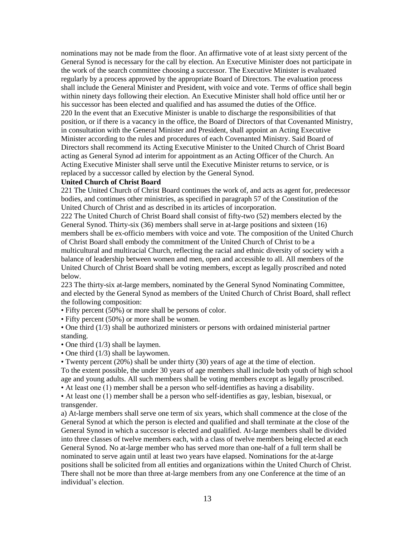nominations may not be made from the floor. An affirmative vote of at least sixty percent of the General Synod is necessary for the call by election. An Executive Minister does not participate in the work of the search committee choosing a successor. The Executive Minister is evaluated regularly by a process approved by the appropriate Board of Directors. The evaluation process shall include the General Minister and President, with voice and vote. Terms of office shall begin within ninety days following their election. An Executive Minister shall hold office until her or his successor has been elected and qualified and has assumed the duties of the Office. 220 In the event that an Executive Minister is unable to discharge the responsibilities of that position, or if there is a vacancy in the office, the Board of Directors of that Covenanted Ministry, in consultation with the General Minister and President, shall appoint an Acting Executive Minister according to the rules and procedures of each Covenanted Ministry. Said Board of Directors shall recommend its Acting Executive Minister to the United Church of Christ Board acting as General Synod ad interim for appointment as an Acting Officer of the Church. An Acting Executive Minister shall serve until the Executive Minister returns to service, or is replaced by a successor called by election by the General Synod.

#### **United Church of Christ Board**

221 The United Church of Christ Board continues the work of, and acts as agent for, predecessor bodies, and continues other ministries, as specified in paragraph 57 of the Constitution of the United Church of Christ and as described in its articles of incorporation.

222 The United Church of Christ Board shall consist of fifty-two (52) members elected by the General Synod. Thirty-six (36) members shall serve in at-large positions and sixteen (16) members shall be ex-officio members with voice and vote. The composition of the United Church of Christ Board shall embody the commitment of the United Church of Christ to be a multicultural and multiracial Church, reflecting the racial and ethnic diversity of society with a balance of leadership between women and men, open and accessible to all. All members of the United Church of Christ Board shall be voting members, except as legally proscribed and noted below.

223 The thirty-six at-large members, nominated by the General Synod Nominating Committee, and elected by the General Synod as members of the United Church of Christ Board, shall reflect the following composition:

- Fifty percent (50%) or more shall be persons of color.
- Fifty percent (50%) or more shall be women.

• One third (1/3) shall be authorized ministers or persons with ordained ministerial partner standing.

- One third (1/3) shall be laymen.
- One third (1/3) shall be laywomen.

• Twenty percent (20%) shall be under thirty (30) years of age at the time of election. To the extent possible, the under 30 years of age members shall include both youth of high school age and young adults. All such members shall be voting members except as legally proscribed.

• At least one (1) member shall be a person who self-identifies as having a disability.

• At least one (1) member shall be a person who self-identifies as gay, lesbian, bisexual, or transgender.

a) At-large members shall serve one term of six years, which shall commence at the close of the General Synod at which the person is elected and qualified and shall terminate at the close of the General Synod in which a successor is elected and qualified. At-large members shall be divided into three classes of twelve members each, with a class of twelve members being elected at each General Synod. No at-large member who has served more than one-half of a full term shall be nominated to serve again until at least two years have elapsed. Nominations for the at-large positions shall be solicited from all entities and organizations within the United Church of Christ. There shall not be more than three at-large members from any one Conference at the time of an individual's election.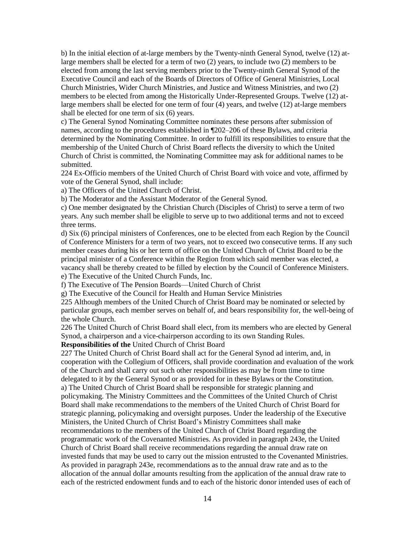b) In the initial election of at-large members by the Twenty-ninth General Synod, twelve (12) atlarge members shall be elected for a term of two (2) years, to include two (2) members to be elected from among the last serving members prior to the Twenty-ninth General Synod of the Executive Council and each of the Boards of Directors of Office of General Ministries, Local Church Ministries, Wider Church Ministries, and Justice and Witness Ministries, and two (2) members to be elected from among the Historically Under-Represented Groups. Twelve (12) atlarge members shall be elected for one term of four (4) years, and twelve (12) at-large members shall be elected for one term of six (6) years.

c) The General Synod Nominating Committee nominates these persons after submission of names, according to the procedures established in ¶202–206 of these Bylaws, and criteria determined by the Nominating Committee. In order to fulfill its responsibilities to ensure that the membership of the United Church of Christ Board reflects the diversity to which the United Church of Christ is committed, the Nominating Committee may ask for additional names to be submitted.

224 Ex-Officio members of the United Church of Christ Board with voice and vote, affirmed by vote of the General Synod, shall include:

a) The Officers of the United Church of Christ.

b) The Moderator and the Assistant Moderator of the General Synod.

c) One member designated by the Christian Church (Disciples of Christ) to serve a term of two years. Any such member shall be eligible to serve up to two additional terms and not to exceed three terms.

d) Six (6) principal ministers of Conferences, one to be elected from each Region by the Council of Conference Ministers for a term of two years, not to exceed two consecutive terms. If any such member ceases during his or her term of office on the United Church of Christ Board to be the principal minister of a Conference within the Region from which said member was elected, a vacancy shall be thereby created to be filled by election by the Council of Conference Ministers. e) The Executive of the United Church Funds, Inc.

f) The Executive of The Pension Boards—United Church of Christ

g) The Executive of the Council for Health and Human Service Ministries

225 Although members of the United Church of Christ Board may be nominated or selected by particular groups, each member serves on behalf of, and bears responsibility for, the well-being of the whole Church.

226 The United Church of Christ Board shall elect, from its members who are elected by General Synod, a chairperson and a vice-chairperson according to its own Standing Rules.

**Responsibilities of the** United Church of Christ Board

227 The United Church of Christ Board shall act for the General Synod ad interim, and, in cooperation with the Collegium of Officers, shall provide coordination and evaluation of the work of the Church and shall carry out such other responsibilities as may be from time to time delegated to it by the General Synod or as provided for in these Bylaws or the Constitution. a) The United Church of Christ Board shall be responsible for strategic planning and policymaking. The Ministry Committees and the Committees of the United Church of Christ Board shall make recommendations to the members of the United Church of Christ Board for strategic planning, policymaking and oversight purposes. Under the leadership of the Executive Ministers, the United Church of Christ Board's Ministry Committees shall make recommendations to the members of the United Church of Christ Board regarding the programmatic work of the Covenanted Ministries. As provided in paragraph 243e, the United Church of Christ Board shall receive recommendations regarding the annual draw rate on invested funds that may be used to carry out the mission entrusted to the Covenanted Ministries. As provided in paragraph 243e, recommendations as to the annual draw rate and as to the allocation of the annual dollar amounts resulting from the application of the annual draw rate to each of the restricted endowment funds and to each of the historic donor intended uses of each of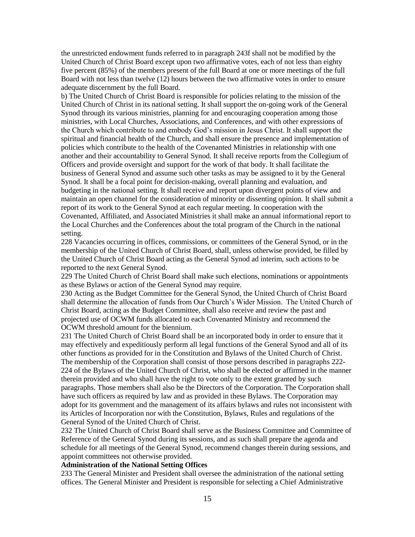the unrestricted endowment funds referred to in paragraph 243f shall not be modified by the United Church of Christ Board except upon two affirmative votes, each of not less than eighty five percent (85%) of the members present of the full Board at one or more meetings of the full Board with not less than twelve (12) hours between the two affirmative votes in order to ensure adequate discernment by the full Board.

b) The United Church of Christ Board is responsible for policies relating to the mission of the United Church of Christ in its national setting. It shall support the on-going work of the General Synod through its various ministries, planning for and encouraging cooperation among those ministries, with Local Churches, Associations, and Conferences, and with other expressions of the Church which contribute to and embody God's mission in Jesus Christ. It shall support the spiritual and financial health of the Church, and shall ensure the presence and implementation of policies which contribute to the health of the Covenanted Ministries in relationship with one another and their accountability to General Synod. It shall receive reports from the Collegium of Officers and provide oversight and support for the work of that body. It shall facilitate the business of General Synod and assume such other tasks as may be assigned to it by the General Synod. It shall be a focal point for decision-making, overall planning and evaluation, and budgeting in the national setting. It shall receive and report upon divergent points of view and maintain an open channel for the consideration of minority or dissenting opinion. It shall submit a report of its work to the General Synod at each regular meeting. In cooperation with the Covenanted, Affiliated, and Associated Ministries it shall make an annual informational report to the Local Churches and the Conferences about the total program of the Church in the national setting.

228 Vacancies occurring in offices, commissions, or committees of the General Synod, or in the membership of the United Church of Christ Board, shall, unless otherwise provided, be filled by the United Church of Christ Board acting as the General Synod ad interim, such actions to be reported to the next General Synod.

229 The United Church of Christ Board shall make such elections, nominations or appointments as these Bylaws or action of the General Synod may require.

230 Acting as the Budget Committee for the General Synod, the United Church of Christ Board shall determine the allocation of funds from Our Church's Wider Mission. The United Church of Christ Board, acting as the Budget Committee, shall also receive and review the past and projected use of OCWM funds allocated to each Covenanted Ministry and recommend the OCWM threshold amount for the biennium.

231 The United Church of Christ Board shall be an incorporated body in order to ensure that it may effectively and expeditiously perform all legal functions of the General Synod and all of its other functions as provided for in the Constitution and Bylaws of the United Church of Christ. The membership of the Corporation shall consist of those persons described in paragraphs 222- 224 of the Bylaws of the United Church of Christ, who shall be elected or affirmed in the manner therein provided and who shall have the right to vote only to the extent granted by such paragraphs. Those members shall also be the Directors of the Corporation. The Corporation shall have such officers as required by law and as provided in these Bylaws. The Corporation may adopt for its government and the management of its affairs bylaws and rules not inconsistent with its Articles of Incorporation nor with the Constitution, Bylaws, Rules and regulations of the General Synod of the United Church of Christ.

232 The United Church of Christ Board shall serve as the Business Committee and Committee of Reference of the General Synod during its sessions, and as such shall prepare the agenda and schedule for all meetings of the General Synod, recommend changes therein during sessions, and appoint committees not otherwise provided.

#### **Administration of the National Setting Offices**

233 The General Minister and President shall oversee the administration of the national setting offices. The General Minister and President is responsible for selecting a Chief Administrative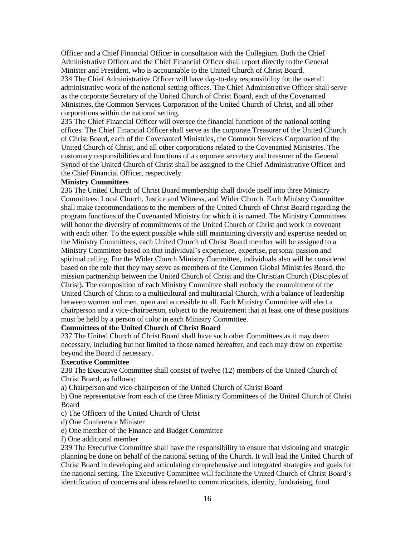Officer and a Chief Financial Officer in consultation with the Collegium. Both the Chief Administrative Officer and the Chief Financial Officer shall report directly to the General Minister and President, who is accountable to the United Church of Christ Board. 234 The Chief Administrative Officer will have day-to-day responsibility for the overall administrative work of the national setting offices. The Chief Administrative Officer shall serve as the corporate Secretary of the United Church of Christ Board, each of the Covenanted Ministries, the Common Services Corporation of the United Church of Christ, and all other corporations within the national setting.

235 The Chief Financial Officer will oversee the financial functions of the national setting offices. The Chief Financial Officer shall serve as the corporate Treasurer of the United Church of Christ Board, each of the Covenanted Ministries, the Common Services Corporation of the United Church of Christ, and all other corporations related to the Covenanted Ministries. The customary responsibilities and functions of a corporate secretary and treasurer of the General Synod of the United Church of Christ shall be assigned to the Chief Administrative Officer and the Chief Financial Officer, respectively.

### **Ministry Committees**

236 The United Church of Christ Board membership shall divide itself into three Ministry Committees: Local Church, Justice and Witness, and Wider Church. Each Ministry Committee shall make recommendations to the members of the United Church of Christ Board regarding the program functions of the Covenanted Ministry for which it is named. The Ministry Committees will honor the diversity of commitments of the United Church of Christ and work in covenant with each other. To the extent possible while still maintaining diversity and expertise needed on the Ministry Committees, each United Church of Christ Board member will be assigned to a Ministry Committee based on that individual's experience, expertise, personal passion and spiritual calling. For the Wider Church Ministry Committee, individuals also will be considered based on the role that they may serve as members of the Common Global Ministries Board, the mission partnership between the United Church of Christ and the Christian Church (Disciples of Christ). The composition of each Ministry Committee shall embody the commitment of the United Church of Christ to a multicultural and multiracial Church, with a balance of leadership between women and men, open and accessible to all. Each Ministry Committee will elect a chairperson and a vice-chairperson, subject to the requirement that at least one of these positions must be held by a person of color in each Ministry Committee.

## **Committees of the United Church of Christ Board**

237 The United Church of Christ Board shall have such other Committees as it may deem necessary, including but not limited to those named hereafter, and each may draw on expertise beyond the Board if necessary.

## **Executive Committee**

238 The Executive Committee shall consist of twelve (12) members of the United Church of Christ Board, as follows:

a) Chairperson and vice-chairperson of the United Church of Christ Board

b) One representative from each of the three Ministry Committees of the United Church of Christ Board

c) The Officers of the United Church of Christ

d) One Conference Minister

e) One member of the Finance and Budget Committee

f) One additional member

239 The Executive Committee shall have the responsibility to ensure that visioning and strategic planning be done on behalf of the national setting of the Church. It will lead the United Church of Christ Board in developing and articulating comprehensive and integrated strategies and goals for the national setting. The Executive Committee will facilitate the United Church of Christ Board's identification of concerns and ideas related to communications, identity, fundraising, fund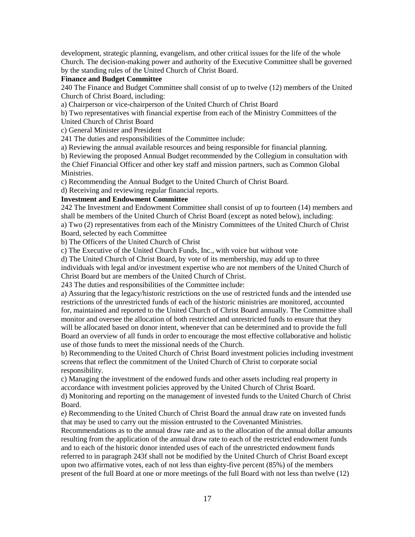development, strategic planning, evangelism, and other critical issues for the life of the whole Church. The decision-making power and authority of the Executive Committee shall be governed by the standing rules of the United Church of Christ Board.

# **Finance and Budget Committee**

240 The Finance and Budget Committee shall consist of up to twelve (12) members of the United Church of Christ Board, including:

a) Chairperson or vice-chairperson of the United Church of Christ Board

b) Two representatives with financial expertise from each of the Ministry Committees of the

United Church of Christ Board

c) General Minister and President

241 The duties and responsibilities of the Committee include:

a) Reviewing the annual available resources and being responsible for financial planning.

b) Reviewing the proposed Annual Budget recommended by the Collegium in consultation with the Chief Financial Officer and other key staff and mission partners, such as Common Global Ministries.

c) Recommending the Annual Budget to the United Church of Christ Board.

d) Receiving and reviewing regular financial reports.

# **Investment and Endowment Committee**

242 The Investment and Endowment Committee shall consist of up to fourteen (14) members and shall be members of the United Church of Christ Board (except as noted below), including:

a) Two (2) representatives from each of the Ministry Committees of the United Church of Christ Board, selected by each Committee

b) The Officers of the United Church of Christ

c) The Executive of the United Church Funds, Inc., with voice but without vote

d) The United Church of Christ Board, by vote of its membership, may add up to three

individuals with legal and/or investment expertise who are not members of the United Church of Christ Board but are members of the United Church of Christ.

243 The duties and responsibilities of the Committee include:

a) Assuring that the legacy/historic restrictions on the use of restricted funds and the intended use restrictions of the unrestricted funds of each of the historic ministries are monitored, accounted for, maintained and reported to the United Church of Christ Board annually. The Committee shall monitor and oversee the allocation of both restricted and unrestricted funds to ensure that they will be allocated based on donor intent, whenever that can be determined and to provide the full Board an overview of all funds in order to encourage the most effective collaborative and holistic use of those funds to meet the missional needs of the Church.

b) Recommending to the United Church of Christ Board investment policies including investment screens that reflect the commitment of the United Church of Christ to corporate social responsibility.

c) Managing the investment of the endowed funds and other assets including real property in accordance with investment policies approved by the United Church of Christ Board.

d) Monitoring and reporting on the management of invested funds to the United Church of Christ Board.

e) Recommending to the United Church of Christ Board the annual draw rate on invested funds that may be used to carry out the mission entrusted to the Covenanted Ministries.

Recommendations as to the annual draw rate and as to the allocation of the annual dollar amounts resulting from the application of the annual draw rate to each of the restricted endowment funds and to each of the historic donor intended uses of each of the unrestricted endowment funds referred to in paragraph 243f shall not be modified by the United Church of Christ Board except upon two affirmative votes, each of not less than eighty-five percent (85%) of the members present of the full Board at one or more meetings of the full Board with not less than twelve (12)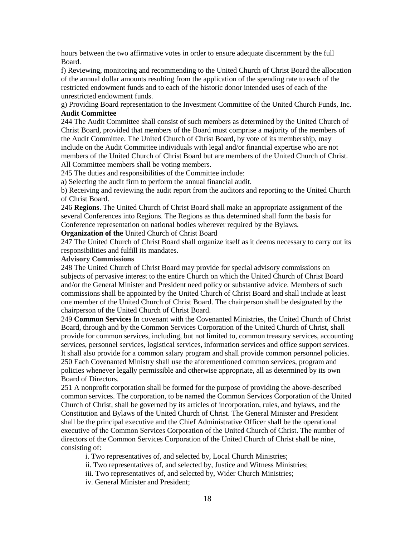hours between the two affirmative votes in order to ensure adequate discernment by the full Board.

f) Reviewing, monitoring and recommending to the United Church of Christ Board the allocation of the annual dollar amounts resulting from the application of the spending rate to each of the restricted endowment funds and to each of the historic donor intended uses of each of the unrestricted endowment funds.

g) Providing Board representation to the Investment Committee of the United Church Funds, Inc. **Audit Committee**

244 The Audit Committee shall consist of such members as determined by the United Church of Christ Board, provided that members of the Board must comprise a majority of the members of the Audit Committee. The United Church of Christ Board, by vote of its membership, may include on the Audit Committee individuals with legal and/or financial expertise who are not members of the United Church of Christ Board but are members of the United Church of Christ. All Committee members shall be voting members.

245 The duties and responsibilities of the Committee include:

a) Selecting the audit firm to perform the annual financial audit.

b) Receiving and reviewing the audit report from the auditors and reporting to the United Church of Christ Board.

246 **Regions**. The United Church of Christ Board shall make an appropriate assignment of the several Conferences into Regions. The Regions as thus determined shall form the basis for Conference representation on national bodies wherever required by the Bylaws.

**Organization of the** United Church of Christ Board

247 The United Church of Christ Board shall organize itself as it deems necessary to carry out its responsibilities and fulfill its mandates.

### **Advisory Commissions**

248 The United Church of Christ Board may provide for special advisory commissions on subjects of pervasive interest to the entire Church on which the United Church of Christ Board and/or the General Minister and President need policy or substantive advice. Members of such commissions shall be appointed by the United Church of Christ Board and shall include at least one member of the United Church of Christ Board. The chairperson shall be designated by the chairperson of the United Church of Christ Board.

249 **Common Services** In covenant with the Covenanted Ministries, the United Church of Christ Board, through and by the Common Services Corporation of the United Church of Christ, shall provide for common services, including, but not limited to, common treasury services, accounting services, personnel services, logistical services, information services and office support services. It shall also provide for a common salary program and shall provide common personnel policies. 250 Each Covenanted Ministry shall use the aforementioned common services, program and policies whenever legally permissible and otherwise appropriate, all as determined by its own Board of Directors.

251 A nonprofit corporation shall be formed for the purpose of providing the above-described common services. The corporation, to be named the Common Services Corporation of the United Church of Christ, shall be governed by its articles of incorporation, rules, and bylaws, and the Constitution and Bylaws of the United Church of Christ. The General Minister and President shall be the principal executive and the Chief Administrative Officer shall be the operational executive of the Common Services Corporation of the United Church of Christ. The number of directors of the Common Services Corporation of the United Church of Christ shall be nine, consisting of:

i. Two representatives of, and selected by, Local Church Ministries;

ii. Two representatives of, and selected by, Justice and Witness Ministries;

iii. Two representatives of, and selected by, Wider Church Ministries;

iv. General Minister and President;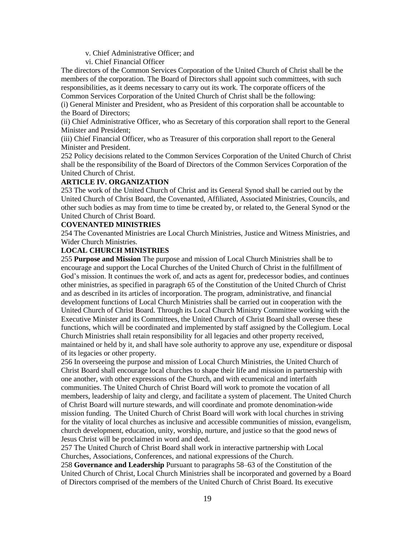v. Chief Administrative Officer; and

vi. Chief Financial Officer

The directors of the Common Services Corporation of the United Church of Christ shall be the members of the corporation. The Board of Directors shall appoint such committees, with such responsibilities, as it deems necessary to carry out its work. The corporate officers of the Common Services Corporation of the United Church of Christ shall be the following:

(i) General Minister and President, who as President of this corporation shall be accountable to the Board of Directors;

(ii) Chief Administrative Officer, who as Secretary of this corporation shall report to the General Minister and President;

(iii) Chief Financial Officer, who as Treasurer of this corporation shall report to the General Minister and President.

252 Policy decisions related to the Common Services Corporation of the United Church of Christ shall be the responsibility of the Board of Directors of the Common Services Corporation of the United Church of Christ.

# **ARTICLE IV. ORGANIZATION**

253 The work of the United Church of Christ and its General Synod shall be carried out by the United Church of Christ Board, the Covenanted, Affiliated, Associated Ministries, Councils, and other such bodies as may from time to time be created by, or related to, the General Synod or the United Church of Christ Board.

## **COVENANTED MINISTRIES**

254 The Covenanted Ministries are Local Church Ministries, Justice and Witness Ministries, and Wider Church Ministries.

## **LOCAL CHURCH MINISTRIES**

255 **Purpose and Mission** The purpose and mission of Local Church Ministries shall be to encourage and support the Local Churches of the United Church of Christ in the fulfillment of God's mission. It continues the work of, and acts as agent for, predecessor bodies, and continues other ministries, as specified in paragraph 65 of the Constitution of the United Church of Christ and as described in its articles of incorporation. The program, administrative, and financial development functions of Local Church Ministries shall be carried out in cooperation with the United Church of Christ Board. Through its Local Church Ministry Committee working with the Executive Minister and its Committees, the United Church of Christ Board shall oversee these functions, which will be coordinated and implemented by staff assigned by the Collegium. Local Church Ministries shall retain responsibility for all legacies and other property received, maintained or held by it, and shall have sole authority to approve any use, expenditure or disposal of its legacies or other property.

256 In overseeing the purpose and mission of Local Church Ministries, the United Church of Christ Board shall encourage local churches to shape their life and mission in partnership with one another, with other expressions of the Church, and with ecumenical and interfaith communities. The United Church of Christ Board will work to promote the vocation of all members, leadership of laity and clergy, and facilitate a system of placement. The United Church of Christ Board will nurture stewards, and will coordinate and promote denomination-wide mission funding. The United Church of Christ Board will work with local churches in striving for the vitality of local churches as inclusive and accessible communities of mission, evangelism, church development, education, unity, worship, nurture, and justice so that the good news of Jesus Christ will be proclaimed in word and deed.

257 The United Church of Christ Board shall work in interactive partnership with Local Churches, Associations, Conferences, and national expressions of the Church.

258 **Governance and Leadership** Pursuant to paragraphs 58–63 of the Constitution of the United Church of Christ, Local Church Ministries shall be incorporated and governed by a Board of Directors comprised of the members of the United Church of Christ Board. Its executive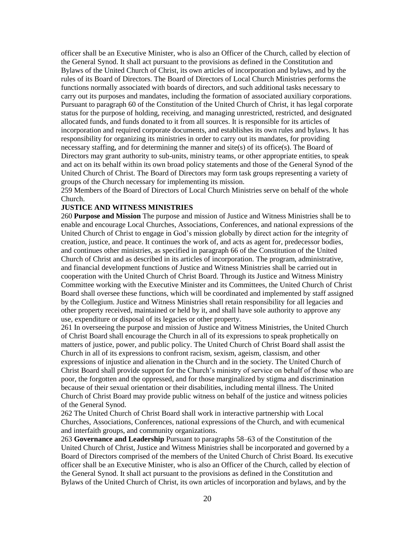officer shall be an Executive Minister, who is also an Officer of the Church, called by election of the General Synod. It shall act pursuant to the provisions as defined in the Constitution and Bylaws of the United Church of Christ, its own articles of incorporation and bylaws, and by the rules of its Board of Directors. The Board of Directors of Local Church Ministries performs the functions normally associated with boards of directors, and such additional tasks necessary to carry out its purposes and mandates, including the formation of associated auxiliary corporations. Pursuant to paragraph 60 of the Constitution of the United Church of Christ, it has legal corporate status for the purpose of holding, receiving, and managing unrestricted, restricted, and designated allocated funds, and funds donated to it from all sources. It is responsible for its articles of incorporation and required corporate documents, and establishes its own rules and bylaws. It has responsibility for organizing its ministries in order to carry out its mandates, for providing necessary staffing, and for determining the manner and site(s) of its office(s). The Board of Directors may grant authority to sub-units, ministry teams, or other appropriate entities, to speak and act on its behalf within its own broad policy statements and those of the General Synod of the United Church of Christ. The Board of Directors may form task groups representing a variety of groups of the Church necessary for implementing its mission.

259 Members of the Board of Directors of Local Church Ministries serve on behalf of the whole Church.

#### **JUSTICE AND WITNESS MINISTRIES**

260 **Purpose and Mission** The purpose and mission of Justice and Witness Ministries shall be to enable and encourage Local Churches, Associations, Conferences, and national expressions of the United Church of Christ to engage in God's mission globally by direct action for the integrity of creation, justice, and peace. It continues the work of, and acts as agent for, predecessor bodies, and continues other ministries, as specified in paragraph 66 of the Constitution of the United Church of Christ and as described in its articles of incorporation. The program, administrative, and financial development functions of Justice and Witness Ministries shall be carried out in cooperation with the United Church of Christ Board. Through its Justice and Witness Ministry Committee working with the Executive Minister and its Committees, the United Church of Christ Board shall oversee these functions, which will be coordinated and implemented by staff assigned by the Collegium. Justice and Witness Ministries shall retain responsibility for all legacies and other property received, maintained or held by it, and shall have sole authority to approve any use, expenditure or disposal of its legacies or other property.

261 In overseeing the purpose and mission of Justice and Witness Ministries, the United Church of Christ Board shall encourage the Church in all of its expressions to speak prophetically on matters of justice, power, and public policy. The United Church of Christ Board shall assist the Church in all of its expressions to confront racism, sexism, ageism, classism, and other expressions of injustice and alienation in the Church and in the society. The United Church of Christ Board shall provide support for the Church's ministry of service on behalf of those who are poor, the forgotten and the oppressed, and for those marginalized by stigma and discrimination because of their sexual orientation or their disabilities, including mental illness. The United Church of Christ Board may provide public witness on behalf of the justice and witness policies of the General Synod.

262 The United Church of Christ Board shall work in interactive partnership with Local Churches, Associations, Conferences, national expressions of the Church, and with ecumenical and interfaith groups, and community organizations.

263 **Governance and Leadership** Pursuant to paragraphs 58–63 of the Constitution of the United Church of Christ, Justice and Witness Ministries shall be incorporated and governed by a Board of Directors comprised of the members of the United Church of Christ Board. Its executive officer shall be an Executive Minister, who is also an Officer of the Church, called by election of the General Synod. It shall act pursuant to the provisions as defined in the Constitution and Bylaws of the United Church of Christ, its own articles of incorporation and bylaws, and by the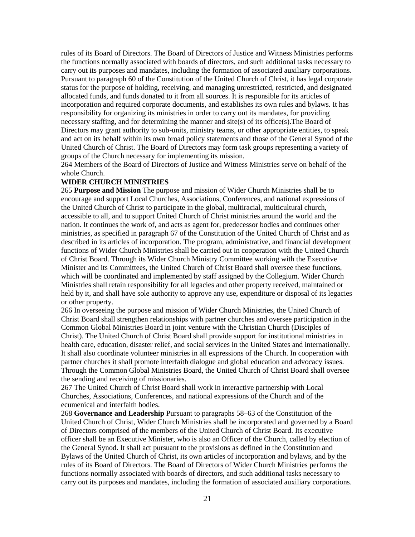rules of its Board of Directors. The Board of Directors of Justice and Witness Ministries performs the functions normally associated with boards of directors, and such additional tasks necessary to carry out its purposes and mandates, including the formation of associated auxiliary corporations. Pursuant to paragraph 60 of the Constitution of the United Church of Christ, it has legal corporate status for the purpose of holding, receiving, and managing unrestricted, restricted, and designated allocated funds, and funds donated to it from all sources. It is responsible for its articles of incorporation and required corporate documents, and establishes its own rules and bylaws. It has responsibility for organizing its ministries in order to carry out its mandates, for providing necessary staffing, and for determining the manner and site(s) of its office(s).The Board of Directors may grant authority to sub-units, ministry teams, or other appropriate entities, to speak and act on its behalf within its own broad policy statements and those of the General Synod of the United Church of Christ. The Board of Directors may form task groups representing a variety of groups of the Church necessary for implementing its mission.

264 Members of the Board of Directors of Justice and Witness Ministries serve on behalf of the whole Church.

### **WIDER CHURCH MINISTRIES**

265 **Purpose and Mission** The purpose and mission of Wider Church Ministries shall be to encourage and support Local Churches, Associations, Conferences, and national expressions of the United Church of Christ to participate in the global, multiracial, multicultural church, accessible to all, and to support United Church of Christ ministries around the world and the nation. It continues the work of, and acts as agent for, predecessor bodies and continues other ministries, as specified in paragraph 67 of the Constitution of the United Church of Christ and as described in its articles of incorporation. The program, administrative, and financial development functions of Wider Church Ministries shall be carried out in cooperation with the United Church of Christ Board. Through its Wider Church Ministry Committee working with the Executive Minister and its Committees, the United Church of Christ Board shall oversee these functions, which will be coordinated and implemented by staff assigned by the Collegium. Wider Church Ministries shall retain responsibility for all legacies and other property received, maintained or held by it, and shall have sole authority to approve any use, expenditure or disposal of its legacies or other property.

266 In overseeing the purpose and mission of Wider Church Ministries, the United Church of Christ Board shall strengthen relationships with partner churches and oversee participation in the Common Global Ministries Board in joint venture with the Christian Church (Disciples of Christ). The United Church of Christ Board shall provide support for institutional ministries in health care, education, disaster relief, and social services in the United States and internationally. It shall also coordinate volunteer ministries in all expressions of the Church. In cooperation with partner churches it shall promote interfaith dialogue and global education and advocacy issues. Through the Common Global Ministries Board, the United Church of Christ Board shall oversee the sending and receiving of missionaries.

267 The United Church of Christ Board shall work in interactive partnership with Local Churches, Associations, Conferences, and national expressions of the Church and of the ecumenical and interfaith bodies.

268 **Governance and Leadership** Pursuant to paragraphs 58–63 of the Constitution of the United Church of Christ, Wider Church Ministries shall be incorporated and governed by a Board of Directors comprised of the members of the United Church of Christ Board. Its executive officer shall be an Executive Minister, who is also an Officer of the Church, called by election of the General Synod. It shall act pursuant to the provisions as defined in the Constitution and Bylaws of the United Church of Christ, its own articles of incorporation and bylaws, and by the rules of its Board of Directors. The Board of Directors of Wider Church Ministries performs the functions normally associated with boards of directors, and such additional tasks necessary to carry out its purposes and mandates, including the formation of associated auxiliary corporations.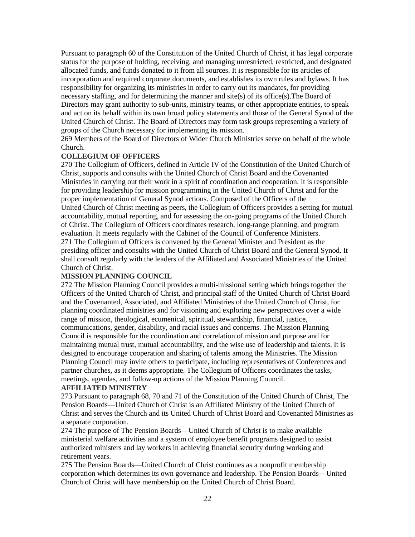Pursuant to paragraph 60 of the Constitution of the United Church of Christ, it has legal corporate status for the purpose of holding, receiving, and managing unrestricted, restricted, and designated allocated funds, and funds donated to it from all sources. It is responsible for its articles of incorporation and required corporate documents, and establishes its own rules and bylaws. It has responsibility for organizing its ministries in order to carry out its mandates, for providing necessary staffing, and for determining the manner and site(s) of its office(s).The Board of Directors may grant authority to sub-units, ministry teams, or other appropriate entities, to speak and act on its behalf within its own broad policy statements and those of the General Synod of the United Church of Christ. The Board of Directors may form task groups representing a variety of groups of the Church necessary for implementing its mission.

269 Members of the Board of Directors of Wider Church Ministries serve on behalf of the whole Church.

#### **COLLEGIUM OF OFFICERS**

270 The Collegium of Officers, defined in Article IV of the Constitution of the United Church of Christ, supports and consults with the United Church of Christ Board and the Covenanted Ministries in carrying out their work in a spirit of coordination and cooperation. It is responsible for providing leadership for mission programming in the United Church of Christ and for the proper implementation of General Synod actions. Composed of the Officers of the United Church of Christ meeting as peers, the Collegium of Officers provides a setting for mutual accountability, mutual reporting, and for assessing the on-going programs of the United Church of Christ. The Collegium of Officers coordinates research, long-range planning, and program evaluation. It meets regularly with the Cabinet of the Council of Conference Ministers. 271 The Collegium of Officers is convened by the General Minister and President as the presiding officer and consults with the United Church of Christ Board and the General Synod. It shall consult regularly with the leaders of the Affiliated and Associated Ministries of the United Church of Christ.

#### **MISSION PLANNING COUNCIL**

272 The Mission Planning Council provides a multi-missional setting which brings together the Officers of the United Church of Christ, and principal staff of the United Church of Christ Board and the Covenanted, Associated, and Affiliated Ministries of the United Church of Christ, for planning coordinated ministries and for visioning and exploring new perspectives over a wide range of mission, theological, ecumenical, spiritual, stewardship, financial, justice, communications, gender, disability, and racial issues and concerns. The Mission Planning Council is responsible for the coordination and correlation of mission and purpose and for maintaining mutual trust, mutual accountability, and the wise use of leadership and talents. It is designed to encourage cooperation and sharing of talents among the Ministries. The Mission Planning Council may invite others to participate, including representatives of Conferences and partner churches, as it deems appropriate. The Collegium of Officers coordinates the tasks, meetings, agendas, and follow-up actions of the Mission Planning Council.

#### **AFFILIATED MINISTRY**

273 Pursuant to paragraph 68, 70 and 71 of the Constitution of the United Church of Christ, The Pension Boards—United Church of Christ is an Affiliated Ministry of the United Church of Christ and serves the Church and its United Church of Christ Board and Covenanted Ministries as a separate corporation.

274 The purpose of The Pension Boards—United Church of Christ is to make available ministerial welfare activities and a system of employee benefit programs designed to assist authorized ministers and lay workers in achieving financial security during working and retirement years.

275 The Pension Boards—United Church of Christ continues as a nonprofit membership corporation which determines its own governance and leadership. The Pension Boards—United Church of Christ will have membership on the United Church of Christ Board.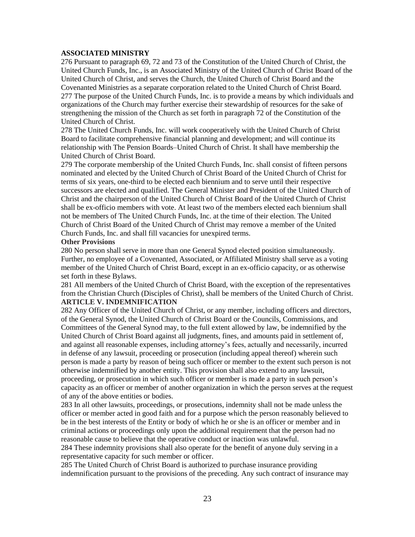### **ASSOCIATED MINISTRY**

276 Pursuant to paragraph 69, 72 and 73 of the Constitution of the United Church of Christ, the United Church Funds, Inc., is an Associated Ministry of the United Church of Christ Board of the United Church of Christ, and serves the Church, the United Church of Christ Board and the Covenanted Ministries as a separate corporation related to the United Church of Christ Board. 277 The purpose of the United Church Funds, Inc. is to provide a means by which individuals and organizations of the Church may further exercise their stewardship of resources for the sake of strengthening the mission of the Church as set forth in paragraph 72 of the Constitution of the United Church of Christ.

278 The United Church Funds, Inc. will work cooperatively with the United Church of Christ Board to facilitate comprehensive financial planning and development; and will continue its relationship with The Pension Boards–United Church of Christ. It shall have membership the United Church of Christ Board.

279 The corporate membership of the United Church Funds, Inc. shall consist of fifteen persons nominated and elected by the United Church of Christ Board of the United Church of Christ for terms of six years, one-third to be elected each biennium and to serve until their respective successors are elected and qualified. The General Minister and President of the United Church of Christ and the chairperson of the United Church of Christ Board of the United Church of Christ shall be ex-officio members with vote. At least two of the members elected each biennium shall not be members of The United Church Funds, Inc. at the time of their election. The United Church of Christ Board of the United Church of Christ may remove a member of the United Church Funds, Inc. and shall fill vacancies for unexpired terms.

### **Other Provisions**

280 No person shall serve in more than one General Synod elected position simultaneously. Further, no employee of a Covenanted, Associated, or Affiliated Ministry shall serve as a voting member of the United Church of Christ Board, except in an ex-officio capacity, or as otherwise set forth in these Bylaws.

281 All members of the United Church of Christ Board, with the exception of the representatives from the Christian Church (Disciples of Christ), shall be members of the United Church of Christ. **ARTICLE V. INDEMNIFICATION**

282 Any Officer of the United Church of Christ, or any member, including officers and directors, of the General Synod, the United Church of Christ Board or the Councils, Commissions, and Committees of the General Synod may, to the full extent allowed by law, be indemnified by the United Church of Christ Board against all judgments, fines, and amounts paid in settlement of, and against all reasonable expenses, including attorney's fees, actually and necessarily, incurred in defense of any lawsuit, proceeding or prosecution (including appeal thereof) wherein such person is made a party by reason of being such officer or member to the extent such person is not otherwise indemnified by another entity. This provision shall also extend to any lawsuit, proceeding, or prosecution in which such officer or member is made a party in such person's capacity as an officer or member of another organization in which the person serves at the request of any of the above entities or bodies.

283 In all other lawsuits, proceedings, or prosecutions, indemnity shall not be made unless the officer or member acted in good faith and for a purpose which the person reasonably believed to be in the best interests of the Entity or body of which he or she is an officer or member and in criminal actions or proceedings only upon the additional requirement that the person had no reasonable cause to believe that the operative conduct or inaction was unlawful.

284 These indemnity provisions shall also operate for the benefit of anyone duly serving in a representative capacity for such member or officer.

285 The United Church of Christ Board is authorized to purchase insurance providing indemnification pursuant to the provisions of the preceding. Any such contract of insurance may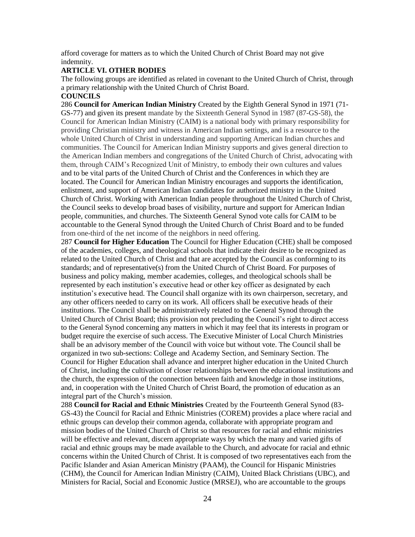afford coverage for matters as to which the United Church of Christ Board may not give indemnity.

## **ARTICLE VI. OTHER BODIES**

The following groups are identified as related in covenant to the United Church of Christ, through a primary relationship with the United Church of Christ Board.

# **COUNCILS**

286 **Council for American Indian Ministry** Created by the Eighth General Synod in 1971 (71- GS-77) and given its present mandate by the Sixteenth General Synod in 1987 (87-GS-58), the Council for American Indian Ministry (CAIM) is a national body with primary responsibility for providing Christian ministry and witness in American Indian settings, and is a resource to the whole United Church of Christ in understanding and supporting American Indian churches and communities. The Council for American Indian Ministry supports and gives general direction to the American Indian members and congregations of the United Church of Christ, advocating with them, through CAIM's Recognized Unit of Ministry, to embody their own cultures and values and to be vital parts of the United Church of Christ and the Conferences in which they are located. The Council for American Indian Ministry encourages and supports the identification, enlistment, and support of American Indian candidates for authorized ministry in the United Church of Christ. Working with American Indian people throughout the United Church of Christ, the Council seeks to develop broad bases of visibility, nurture and support for American Indian people, communities, and churches. The Sixteenth General Synod vote calls for CAIM to be accountable to the General Synod through the United Church of Christ Board and to be funded from one-third of the net income of the neighbors in need offering.

287 **Council for Higher Education** The Council for Higher Education (CHE) shall be composed of the academies, colleges, and theological schools that indicate their desire to be recognized as related to the United Church of Christ and that are accepted by the Council as conforming to its standards; and of representative(s) from the United Church of Christ Board. For purposes of business and policy making, member academies, colleges, and theological schools shall be represented by each institution's executive head or other key officer as designated by each institution's executive head. The Council shall organize with its own chairperson, secretary, and any other officers needed to carry on its work. All officers shall be executive heads of their institutions. The Council shall be administratively related to the General Synod through the United Church of Christ Board; this provision not precluding the Council's right to direct access to the General Synod concerning any matters in which it may feel that its interests in program or budget require the exercise of such access. The Executive Minister of Local Church Ministries shall be an advisory member of the Council with voice but without vote. The Council shall be organized in two sub-sections: College and Academy Section, and Seminary Section. The Council for Higher Education shall advance and interpret higher education in the United Church of Christ, including the cultivation of closer relationships between the educational institutions and the church, the expression of the connection between faith and knowledge in those institutions, and, in cooperation with the United Church of Christ Board, the promotion of education as an integral part of the Church's mission.

288 **Council for Racial and Ethnic Ministries** Created by the Fourteenth General Synod (83- GS-43) the Council for Racial and Ethnic Ministries (COREM) provides a place where racial and ethnic groups can develop their common agenda, collaborate with appropriate program and mission bodies of the United Church of Christ so that resources for racial and ethnic ministries will be effective and relevant, discern appropriate ways by which the many and varied gifts of racial and ethnic groups may be made available to the Church, and advocate for racial and ethnic concerns within the United Church of Christ. It is composed of two representatives each from the Pacific Islander and Asian American Ministry (PAAM), the Council for Hispanic Ministries (CHM), the Council for American Indian Ministry (CAIM), United Black Christians (UBC), and Ministers for Racial, Social and Economic Justice (MRSEJ), who are accountable to the groups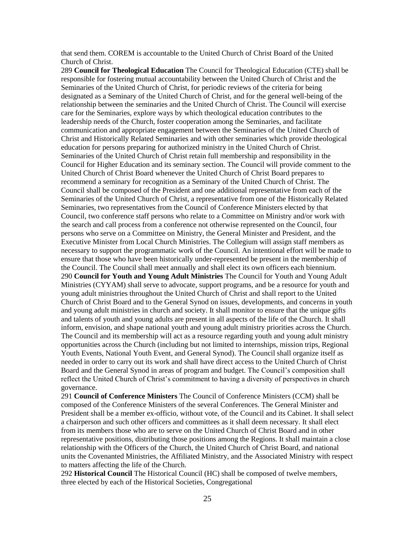that send them. COREM is accountable to the United Church of Christ Board of the United Church of Christ.

289 **Council for Theological Education** The Council for Theological Education (CTE) shall be responsible for fostering mutual accountability between the United Church of Christ and the Seminaries of the United Church of Christ, for periodic reviews of the criteria for being designated as a Seminary of the United Church of Christ, and for the general well-being of the relationship between the seminaries and the United Church of Christ. The Council will exercise care for the Seminaries, explore ways by which theological education contributes to the leadership needs of the Church, foster cooperation among the Seminaries, and facilitate communication and appropriate engagement between the Seminaries of the United Church of Christ and Historically Related Seminaries and with other seminaries which provide theological education for persons preparing for authorized ministry in the United Church of Christ. Seminaries of the United Church of Christ retain full membership and responsibility in the Council for Higher Education and its seminary section. The Council will provide comment to the United Church of Christ Board whenever the United Church of Christ Board prepares to recommend a seminary for recognition as a Seminary of the United Church of Christ. The Council shall be composed of the President and one additional representative from each of the Seminaries of the United Church of Christ, a representative from one of the Historically Related Seminaries, two representatives from the Council of Conference Ministers elected by that Council, two conference staff persons who relate to a Committee on Ministry and/or work with the search and call process from a conference not otherwise represented on the Council, four persons who serve on a Committee on Ministry, the General Minister and President, and the Executive Minister from Local Church Ministries. The Collegium will assign staff members as necessary to support the programmatic work of the Council. An intentional effort will be made to ensure that those who have been historically under-represented be present in the membership of the Council. The Council shall meet annually and shall elect its own officers each biennium. 290 **Council for Youth and Young Adult Ministries** The Council for Youth and Young Adult Ministries (CYYAM) shall serve to advocate, support programs, and be a resource for youth and young adult ministries throughout the United Church of Christ and shall report to the United Church of Christ Board and to the General Synod on issues, developments, and concerns in youth and young adult ministries in church and society. It shall monitor to ensure that the unique gifts and talents of youth and young adults are present in all aspects of the life of the Church. It shall inform, envision, and shape national youth and young adult ministry priorities across the Church. The Council and its membership will act as a resource regarding youth and young adult ministry opportunities across the Church (including but not limited to internships, mission trips, Regional Youth Events, National Youth Event, and General Synod). The Council shall organize itself as needed in order to carry out its work and shall have direct access to the United Church of Christ Board and the General Synod in areas of program and budget. The Council's composition shall reflect the United Church of Christ's commitment to having a diversity of perspectives in church governance.

291 **Council of Conference Ministers** The Council of Conference Ministers (CCM) shall be composed of the Conference Ministers of the several Conferences. The General Minister and President shall be a member ex-officio, without vote, of the Council and its Cabinet. It shall select a chairperson and such other officers and committees as it shall deem necessary. It shall elect from its members those who are to serve on the United Church of Christ Board and in other representative positions, distributing those positions among the Regions. It shall maintain a close relationship with the Officers of the Church, the United Church of Christ Board, and national units the Covenanted Ministries, the Affiliated Ministry, and the Associated Ministry with respect to matters affecting the life of the Church.

292 **Historical Council** The Historical Council (HC) shall be composed of twelve members, three elected by each of the Historical Societies, Congregational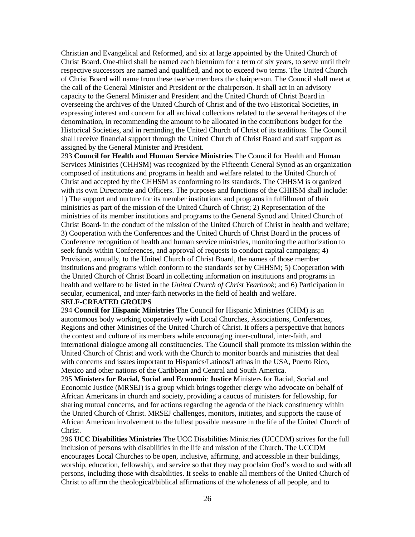Christian and Evangelical and Reformed, and six at large appointed by the United Church of Christ Board. One-third shall be named each biennium for a term of six years, to serve until their respective successors are named and qualified, and not to exceed two terms. The United Church of Christ Board will name from these twelve members the chairperson. The Council shall meet at the call of the General Minister and President or the chairperson. It shall act in an advisory capacity to the General Minister and President and the United Church of Christ Board in overseeing the archives of the United Church of Christ and of the two Historical Societies, in expressing interest and concern for all archival collections related to the several heritages of the denomination, in recommending the amount to be allocated in the contributions budget for the Historical Societies, and in reminding the United Church of Christ of its traditions. The Council shall receive financial support through the United Church of Christ Board and staff support as assigned by the General Minister and President.

293 **Council for Health and Human Service Ministries** The Council for Health and Human Services Ministries (CHHSM) was recognized by the Fifteenth General Synod as an organization composed of institutions and programs in health and welfare related to the United Church of Christ and accepted by the CHHSM as conforming to its standards. The CHHSM is organized with its own Directorate and Officers. The purposes and functions of the CHHSM shall include: 1) The support and nurture for its member institutions and programs in fulfillment of their ministries as part of the mission of the United Church of Christ; 2) Representation of the ministries of its member institutions and programs to the General Synod and United Church of Christ Board- in the conduct of the mission of the United Church of Christ in health and welfare; 3) Cooperation with the Conferences and the United Church of Christ Board in the process of Conference recognition of health and human service ministries, monitoring the authorization to seek funds within Conferences, and approval of requests to conduct capital campaigns; 4) Provision, annually, to the United Church of Christ Board, the names of those member institutions and programs which conform to the standards set by CHHSM; 5) Cooperation with the United Church of Christ Board in collecting information on institutions and programs in health and welfare to be listed in the *United Church of Christ Yearbook*; and 6) Participation in secular, ecumenical, and inter-faith networks in the field of health and welfare.

## **SELF-CREATED GROUPS**

294 **Council for Hispanic Ministries** The Council for Hispanic Ministries (CHM) is an autonomous body working cooperatively with Local Churches, Associations, Conferences, Regions and other Ministries of the United Church of Christ. It offers a perspective that honors the context and culture of its members while encouraging inter-cultural, inter-faith, and international dialogue among all constituencies. The Council shall promote its mission within the United Church of Christ and work with the Church to monitor boards and ministries that deal with concerns and issues important to Hispanics/Latinos/Latinas in the USA, Puerto Rico, Mexico and other nations of the Caribbean and Central and South America.

295 **Ministers for Racial, Social and Economic Justice** Ministers for Racial, Social and Economic Justice (MRSEJ) is a group which brings together clergy who advocate on behalf of African Americans in church and society, providing a caucus of ministers for fellowship, for sharing mutual concerns, and for actions regarding the agenda of the black constituency within the United Church of Christ. MRSEJ challenges, monitors, initiates, and supports the cause of African American involvement to the fullest possible measure in the life of the United Church of Christ.

296 **UCC Disabilities Ministries** The UCC Disabilities Ministries (UCCDM) strives for the full inclusion of persons with disabilities in the life and mission of the Church. The UCCDM encourages Local Churches to be open, inclusive, affirming, and accessible in their buildings, worship, education, fellowship, and service so that they may proclaim God's word to and with all persons, including those with disabilities. It seeks to enable all members of the United Church of Christ to affirm the theological/biblical affirmations of the wholeness of all people, and to